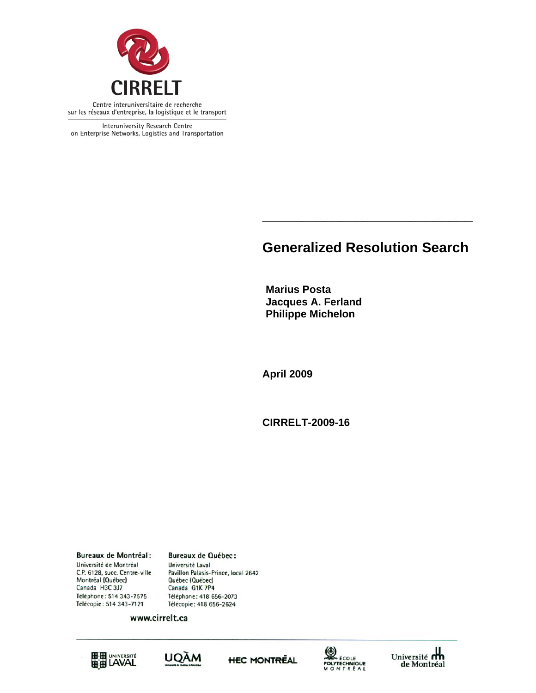

Interuniversity Research Centre on Enterprise Networks, Logistics and Transportation

# **Generalized Resolution Search**

**\_\_\_\_\_\_\_\_\_\_\_\_\_\_\_\_\_\_\_\_\_\_\_\_\_\_\_** 

**Marius Posta Jacques A. Ferland Philippe Michelon** 

**April 2009** 

**CIRRELT-2009-16** 

**Bureaux de Montréal:** Université de Montréal C.P. 6128, succ. Centre-ville Montréal (Québec) Canada H3C 3J7 Téléphone: 514 343-7575 Télécopie: 514 343-7121

**Bureaux de Québec:** Université Laval Pavillon Palasis-Prince, local 2642 Québec (Québec) Canada G1K 7P4 Téléphone: 418 656-2073 Télécopie: 418 656-2624

www.cirrelt.ca









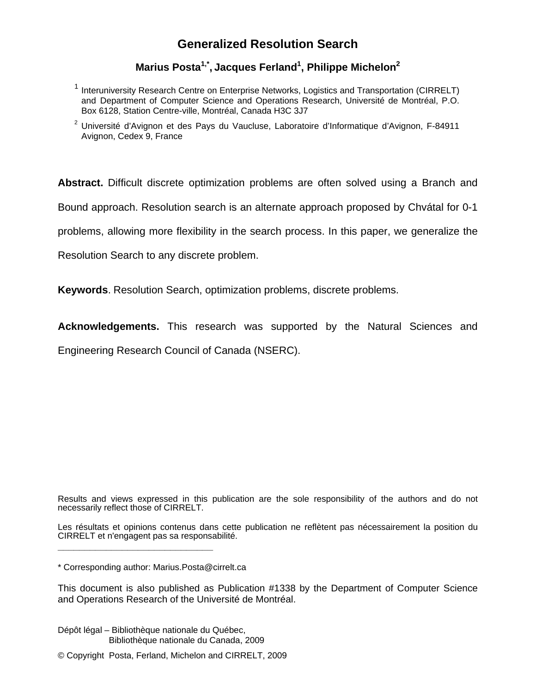## **Generalized Resolution Search**

## Marius Posta<sup>1,\*</sup>, Jacques Ferland<sup>1</sup>, Philippe Michelon<sup>2</sup>

- <sup>1</sup> Interuniversity Research Centre on Enterprise Networks, Logistics and Transportation (CIRRELT) and Department of Computer Science and Operations Research, Université de Montréal, P.O. Box 6128, Station Centre-ville, Montréal, Canada H3C 3J7
- <sup>2</sup> Université d'Avignon et des Pays du Vaucluse, Laboratoire d'Informatique d'Avignon, F-84911 Avignon, Cedex 9, France

**Abstract.** Difficult discrete optimization problems are often solved using a Branch and

Bound approach. Resolution search is an alternate approach proposed by Chvátal for 0-1

problems, allowing more flexibility in the search process. In this paper, we generalize the

Resolution Search to any discrete problem.

**Keywords**. Resolution Search, optimization problems, discrete problems.

**Acknowledgements.** This research was supported by the Natural Sciences and

Engineering Research Council of Canada (NSERC).

Results and views expressed in this publication are the sole responsibility of the authors and do not necessarily reflect those of CIRRELT.

Les résultats et opinions contenus dans cette publication ne reflètent pas nécessairement la position du CIRRELT et n'engagent pas sa responsabilité.

\* Corresponding author: Marius.Posta@cirrelt.ca

**\_\_\_\_\_\_\_\_\_\_\_\_\_\_\_\_\_\_\_\_\_\_\_\_\_\_\_\_\_**

This document is also published as Publication #1338 by the Department of Computer Science and Operations Research of the Université de Montréal.

Dépôt légal – Bibliothèque nationale du Québec, Bibliothèque nationale du Canada, 2009

© Copyright Posta, Ferland, Michelon and CIRRELT, 2009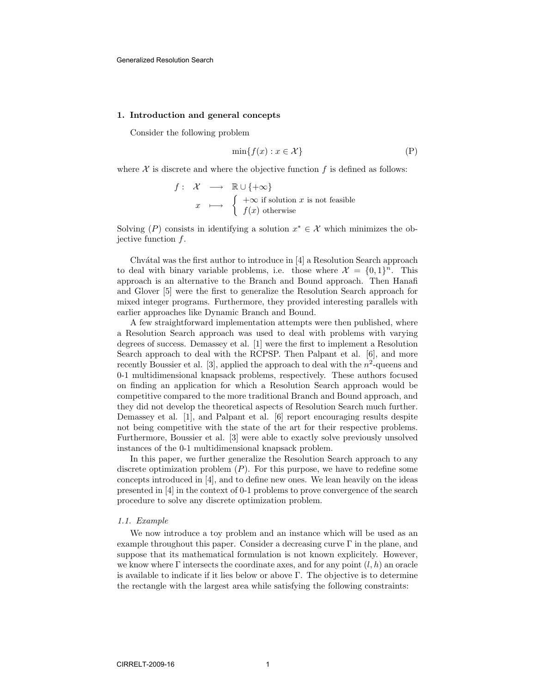### 1. Introduction and general concepts

Consider the following problem

$$
\min\{f(x) : x \in \mathcal{X}\}\tag{P}
$$

where  $\mathcal X$  is discrete and where the objective function  $f$  is defined as follows:

$$
f: \mathcal{X} \longrightarrow \mathbb{R} \cup \{+\infty\}
$$
  

$$
x \longmapsto \begin{cases} +\infty \text{ if solution } x \text{ is not feasible} \\ f(x) \text{ otherwise} \end{cases}
$$

Solving (P) consists in identifying a solution  $x^* \in \mathcal{X}$  which minimizes the objective function  $f$ .

Chvátal was the first author to introduce in [4] a Resolution Search approach to deal with binary variable problems, i.e. those where  $\mathcal{X} = \{0,1\}^n$ . This approach is an alternative to the Branch and Bound approach. Then Hanafi and Glover [5] were the first to generalize the Resolution Search approach for mixed integer programs. Furthermore, they provided interesting parallels with earlier approaches like Dynamic Branch and Bound.

A few straightforward implementation attempts were then published, where a Resolution Search approach was used to deal with problems with varying degrees of success. Demassey et al. [1] were the first to implement a Resolution Search approach to deal with the RCPSP. Then Palpant et al. [6], and more recently Boussier et al. [3], applied the approach to deal with the  $n^2$ -queens and 0-1 multidimensional knapsack problems, respectively. These authors focused on finding an application for which a Resolution Search approach would be competitive compared to the more traditional Branch and Bound approach, and they did not develop the theoretical aspects of Resolution Search much further. Demassey et al. [1], and Palpant et al. [6] report encouraging results despite not being competitive with the state of the art for their respective problems. Furthermore, Boussier et al. [3] were able to exactly solve previously unsolved instances of the 0-1 multidimensional knapsack problem.

In this paper, we further generalize the Resolution Search approach to any discrete optimization problem  $(P)$ . For this purpose, we have to redefine some concepts introduced in [4], and to define new ones. We lean heavily on the ideas presented in [4] in the context of 0-1 problems to prove convergence of the search procedure to solve any discrete optimization problem.

#### 1.1. Example

We now introduce a toy problem and an instance which will be used as an example throughout this paper. Consider a decreasing curve  $\Gamma$  in the plane, and suppose that its mathematical formulation is not known explicitely. However, we know where  $\Gamma$  intersects the coordinate axes, and for any point  $(l, h)$  an oracle is available to indicate if it lies below or above Γ. The objective is to determine the rectangle with the largest area while satisfying the following constraints: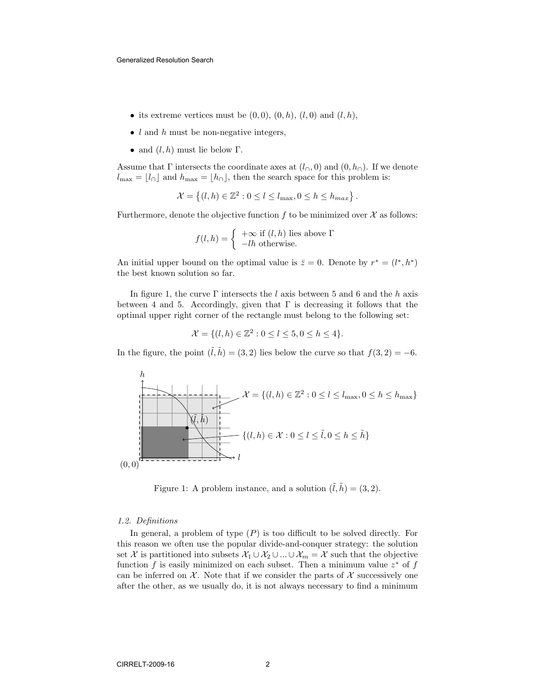- its extreme vertices must be  $(0,0)$ ,  $(0,h)$ ,  $(l,0)$  and  $(l,h)$ ,
- $\bullet$  l and h must be non-negative integers,
- and  $(l, h)$  must lie below  $\Gamma$ .

Assume that  $\Gamma$  intersects the coordinate axes at  $(l_{\cap}, 0)$  and  $(0, h_{\cap})$ . If we denote  $l_{\text{max}} = \lfloor l_{\cap} \rfloor$  and  $h_{\text{max}} = \lfloor h_{\cap} \rfloor$ , then the search space for this problem is:

$$
\mathcal{X} = \left\{ (l, h) \in \mathbb{Z}^2 : 0 \le l \le l_{\max}, 0 \le h \le h_{\max} \right\}.
$$

Furthermore, denote the objective function f to be minimized over  $\mathcal X$  as follows:

$$
f(l, h) = \begin{cases} +\infty & \text{if } (l, h) \text{ lies above } \Gamma \\ -lh & \text{otherwise.} \end{cases}
$$

An initial upper bound on the optimal value is  $\bar{z} = 0$ . Denote by  $r^* = (l^*, h^*)$ the best known solution so far.

In figure 1, the curve  $\Gamma$  intersects the l axis between 5 and 6 and the h axis between 4 and 5. Accordingly, given that  $\Gamma$  is decreasing it follows that the optimal upper right corner of the rectangle must belong to the following set:

$$
\mathcal{X} = \{ (l, h) \in \mathbb{Z}^2 : 0 \le l \le 5, 0 \le h \le 4 \}.
$$

In the figure, the point  $(\tilde{l}, \tilde{h}) = (3, 2)$  lies below the curve so that  $f(3, 2) = -6$ .



Figure 1: A problem instance, and a solution  $(\tilde{l}, \tilde{h}) = (3, 2)$ .

#### 1.2. Definitions

In general, a problem of type  $(P)$  is too difficult to be solved directly. For this reason we often use the popular divide-and-conquer strategy: the solution set X is partitioned into subsets  $\mathcal{X}_1 \cup \mathcal{X}_2 \cup ... \cup \mathcal{X}_m = \mathcal{X}$  such that the objective function  $f$  is easily minimized on each subset. Then a minimum value  $z^*$  of  $f$ can be inferred on  $\mathcal{X}$ . Note that if we consider the parts of  $\mathcal{X}$  successively one after the other, as we usually do, it is not always necessary to find a minimum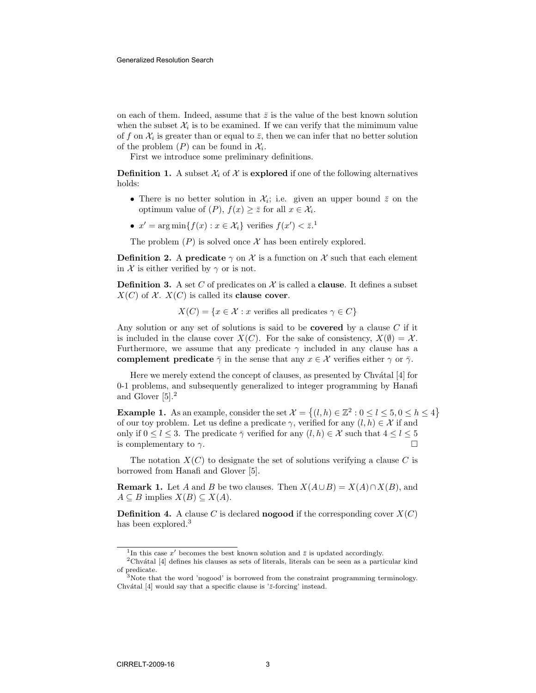on each of them. Indeed, assume that  $\bar{z}$  is the value of the best known solution when the subset  $\mathcal{X}_i$  is to be examined. If we can verify that the mimimum value of f on  $\mathcal{X}_i$  is greater than or equal to  $\bar{z}$ , then we can infer that no better solution of the problem  $(P)$  can be found in  $\mathcal{X}_i$ .

First we introduce some preliminary definitions.

**Definition 1.** A subset  $\mathcal{X}_i$  of  $\mathcal{X}_i$  is explored if one of the following alternatives holds:

- There is no better solution in  $\mathcal{X}_i$ ; i.e. given an upper bound  $\bar{z}$  on the optimum value of  $(P)$ ,  $f(x) \geq \overline{z}$  for all  $x \in \mathcal{X}_i$ .
- $x' = \arg \min \{ f(x) : x \in \mathcal{X}_i \}$  verifies  $f(x') < \overline{z}$ .

The problem  $(P)$  is solved once X has been entirely explored.

**Definition 2.** A predicate  $\gamma$  on X is a function on X such that each element in  $X$  is either verified by  $\gamma$  or is not.

**Definition 3.** A set C of predicates on  $\mathcal{X}$  is called a **clause**. It defines a subset  $X(C)$  of X.  $X(C)$  is called its **clause cover**.

 $X(C) = \{x \in \mathcal{X} : x \text{ verifies all predicates } \gamma \in C\}$ 

Any solution or any set of solutions is said to be **covered** by a clause  $C$  if it is included in the clause cover  $X(C)$ . For the sake of consistency,  $X(\emptyset) = \mathcal{X}$ . Furthermore, we assume that any predicate  $\gamma$  included in any clause has a complement predicate  $\bar{\gamma}$  in the sense that any  $x \in \mathcal{X}$  verifies either  $\gamma$  or  $\bar{\gamma}$ .

Here we merely extend the concept of clauses, as presented by Chvátal [4] for 0-1 problems, and subsequently generalized to integer programming by Hanafi and Glover [5].<sup>2</sup>

**Example 1.** As an example, consider the set  $\mathcal{X} = \{(l, h) \in \mathbb{Z}^2 : 0 \le l \le 5, 0 \le h \le 4\}$ of our toy problem. Let us define a predicate  $\gamma$ , verified for any  $(l, h) \in \mathcal{X}$  if and only if  $0 \leq l \leq 3$ . The predicate  $\overline{\gamma}$  verified for any  $(l, h) \in \mathcal{X}$  such that  $4 \leq l \leq 5$ is complementary to  $\gamma$ .

The notation  $X(C)$  to designate the set of solutions verifying a clause C is borrowed from Hanafi and Glover [5].

**Remark 1.** Let A and B be two clauses. Then  $X(A \cup B) = X(A) \cap X(B)$ , and  $A \subseteq B$  implies  $X(B) \subseteq X(A)$ .

**Definition 4.** A clause C is declared **nogood** if the corresponding cover  $X(C)$ has been explored.<sup>3</sup>

<sup>&</sup>lt;sup>1</sup>In this case x' becomes the best known solution and  $\bar{z}$  is updated accordingly.

 $2$ Chvátal [4] defines his clauses as sets of literals, literals can be seen as a particular kind of predicate.

<sup>&</sup>lt;sup>3</sup>Note that the word 'nogood' is borrowed from the constraint programming terminology. Chvátal  $[4]$  would say that a specific clause is ' $\bar{z}$ -forcing' instead.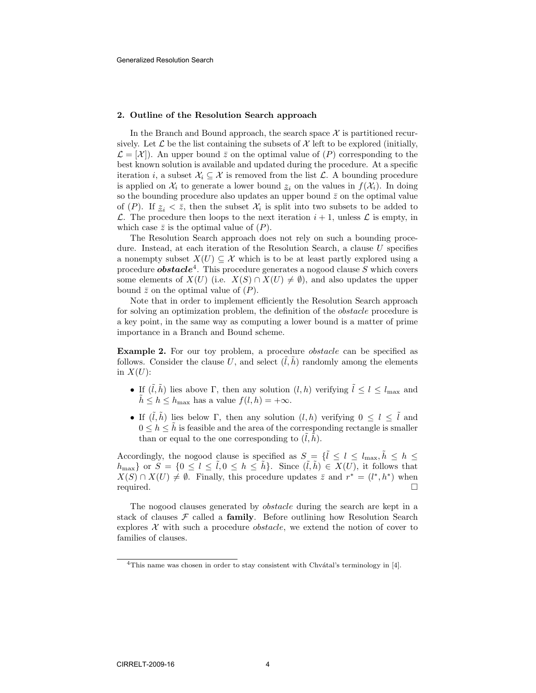#### 2. Outline of the Resolution Search approach

In the Branch and Bound approach, the search space  $\mathcal X$  is partitioned recursively. Let  $\mathcal L$  be the list containing the subsets of  $\mathcal X$  left to be explored (initially,  $\mathcal{L} = [\mathcal{X}]$ . An upper bound  $\bar{z}$  on the optimal value of  $(P)$  corresponding to the best known solution is available and updated during the procedure. At a specific iteration i, a subset  $\mathcal{X}_i \subseteq \mathcal{X}$  is removed from the list  $\mathcal{L}$ . A bounding procedure is applied on  $\mathcal{X}_i$  to generate a lower bound  $\underline{z}_i$  on the values in  $f(\mathcal{X}_i)$ . In doing so the bounding procedure also updates an upper bound  $\bar{z}$  on the optimal value of  $(P)$ . If  $\underline{z}_i < \overline{z}$ , then the subset  $\mathcal{X}_i$  is split into two subsets to be added to  $\mathcal{L}$ . The procedure then loops to the next iteration  $i + 1$ , unless  $\mathcal{L}$  is empty, in which case  $\bar{z}$  is the optimal value of  $(P)$ .

The Resolution Search approach does not rely on such a bounding procedure. Instead, at each iteration of the Resolution Search, a clause  $U$  specifies a nonempty subset  $X(U) \subseteq \mathcal{X}$  which is to be at least partly explored using a procedure *obstacle*<sup>4</sup>. This procedure generates a nogood clause S which covers some elements of  $X(U)$  (i.e.  $X(S) \cap X(U) \neq \emptyset$ ), and also updates the upper bound  $\bar{z}$  on the optimal value of  $(P)$ .

Note that in order to implement efficiently the Resolution Search approach for solving an optimization problem, the definition of the obstacle procedure is a key point, in the same way as computing a lower bound is a matter of prime importance in a Branch and Bound scheme.

Example 2. For our toy problem, a procedure *obstacle* can be specified as follows. Consider the clause U, and select  $(l, h)$  randomly among the elements in  $X(U)$ :

- If  $(\tilde{l}, \tilde{h})$  lies above  $\Gamma$ , then any solution  $(l, h)$  verifying  $\tilde{l} \leq l \leq l_{\text{max}}$  and  $\tilde{h} \leq h \leq h_{\text{max}}$  has a value  $f(l, h) = +\infty$ .
- If  $(\tilde{l}, h)$  lies below Γ, then any solution  $(l, h)$  verifying  $0 \leq l \leq \tilde{l}$  and  $0 \leq h \leq \tilde{h}$  is feasible and the area of the corresponding rectangle is smaller than or equal to the one corresponding to  $(l, h)$ .

Accordingly, the nogood clause is specified as  $S = \{\tilde{l} \le l \le l_{\text{max}}, \tilde{h} \le h \le \}$  $h_{\text{max}}$  or  $S = \{0 \leq l \leq \tilde{l}, 0 \leq h \leq \tilde{h}\}\$ . Since  $(\tilde{l}, \tilde{h}) \in X(U)$ , it follows that  $X(S) \cap X(U) \neq \emptyset$ . Finally, this procedure updates  $\overline{z}$  and  $r^* = (l^*, h^*)$  when required.

The nogood clauses generated by *obstacle* during the search are kept in a stack of clauses  $\mathcal F$  called a **family**. Before outlining how Resolution Search explores  $X$  with such a procedure *obstacle*, we extend the notion of cover to families of clauses.

 $4$ This name was chosen in order to stay consistent with Chvátal's terminology in [4].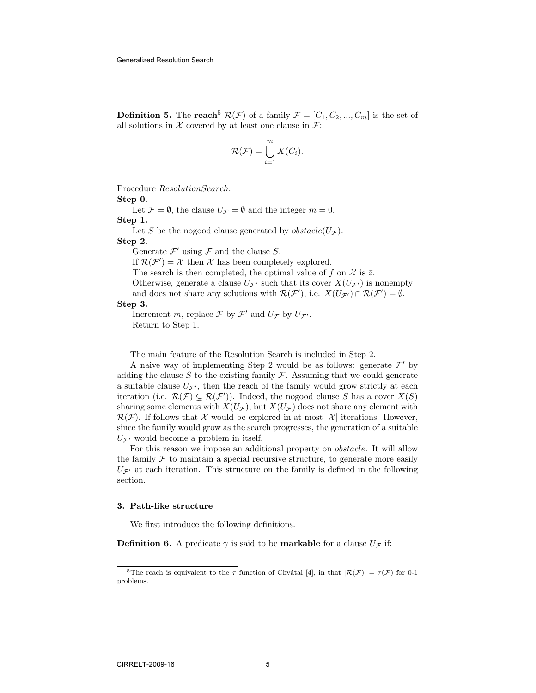**Definition 5.** The reach<sup>5</sup>  $\mathcal{R}(\mathcal{F})$  of a family  $\mathcal{F} = [C_1, C_2, ..., C_m]$  is the set of all solutions in  $X$  covered by at least one clause in  $\mathcal{F}$ :

$$
\mathcal{R}(\mathcal{F}) = \bigcup_{i=1}^{m} X(C_i).
$$

Procedure ResolutionSearch: Step 0.

Let  $\mathcal{F} = \emptyset$ , the clause  $U_{\mathcal{F}} = \emptyset$  and the integer  $m = 0$ . Step 1.

Let S be the nogood clause generated by  $obstack(U_{\mathcal{F}})$ .

## Step 2.

Generate  $\mathcal{F}'$  using  $\mathcal F$  and the clause S.

If  $\mathcal{R}(\mathcal{F}') = \mathcal{X}$  then  $\mathcal{X}$  has been completely explored.

The search is then completed, the optimal value of f on X is  $\bar{z}$ .

Otherwise, generate a clause  $U_{\mathcal{F}'}$  such that its cover  $X(U_{\mathcal{F}'})$  is nonempty and does not share any solutions with  $\mathcal{R}(\mathcal{F}')$ , i.e.  $X(U_{\mathcal{F}'}) \cap \mathcal{R}(\mathcal{F}') = \emptyset$ .

#### Step 3.

Increment m, replace  $\mathcal F$  by  $\mathcal F'$  and  $U_{\mathcal F}$  by  $U_{\mathcal F'}$ . Return to Step 1.

The main feature of the Resolution Search is included in Step 2.

A naive way of implementing Step 2 would be as follows: generate  $\mathcal{F}'$  by adding the clause  $S$  to the existing family  $\mathcal F$ . Assuming that we could generate a suitable clause  $U_{\mathcal{F}}$ , then the reach of the family would grow strictly at each iteration (i.e.  $\mathcal{R}(\mathcal{F}) \subsetneq \mathcal{R}(\mathcal{F}')$ ). Indeed, the nogood clause S has a cover  $X(S)$ sharing some elements with  $X(U_{\mathcal{F}})$ , but  $X(U_{\mathcal{F}})$  does not share any element with  $\mathcal{R}(\mathcal{F})$ . If follows that X would be explored in at most |X| iterations. However, since the family would grow as the search progresses, the generation of a suitable  $U_{\mathcal{F}'}$  would become a problem in itself.

For this reason we impose an additional property on obstacle. It will allow the family  $\mathcal F$  to maintain a special recursive structure, to generate more easily  $U_{\mathcal{F}'}$  at each iteration. This structure on the family is defined in the following section.

#### 3. Path-like structure

We first introduce the following definitions.

**Definition 6.** A predicate  $\gamma$  is said to be **markable** for a clause  $U_{\mathcal{F}}$  if:

<sup>&</sup>lt;sup>5</sup>The reach is equivalent to the  $\tau$  function of Chvatal [4], in that  $|\mathcal{R}(\mathcal{F})| = \tau(\mathcal{F})$  for 0-1 problems.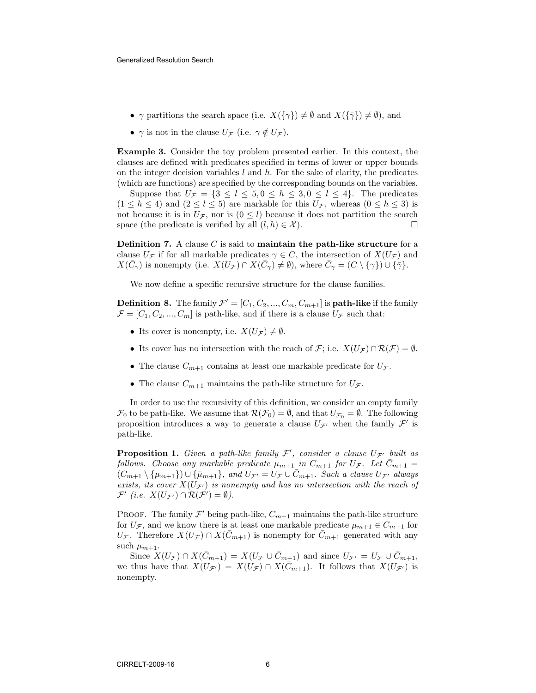- $\gamma$  partitions the search space (i.e.  $X(\{\gamma\}) \neq \emptyset$  and  $X(\{\bar{\gamma}\}) \neq \emptyset$ ), and
- $\gamma$  is not in the clause  $U_{\mathcal{F}}$  (i.e.  $\gamma \notin U_{\mathcal{F}}$ ).

Example 3. Consider the toy problem presented earlier. In this context, the clauses are defined with predicates specified in terms of lower or upper bounds on the integer decision variables  $l$  and  $h$ . For the sake of clarity, the predicates (which are functions) are specified by the corresponding bounds on the variables.

Suppose that  $U_{\mathcal{F}} = \{3 \leq l \leq 5, 0 \leq h \leq 3, 0 \leq l \leq 4\}$ . The predicates  $(1 \leq h \leq 4)$  and  $(2 \leq l \leq 5)$  are markable for this  $U_{\mathcal{F}}$ , whereas  $(0 \leq h \leq 3)$  is not because it is in  $U_{\mathcal{F}}$ , nor is  $(0 \leq l)$  because it does not partition the search space (the predicate is verified by all  $(l, h) \in \mathcal{X}$ ).

**Definition 7.** A clause  $C$  is said to **maintain the path-like structure** for a clause  $U_{\mathcal{F}}$  if for all markable predicates  $\gamma \in C$ , the intersection of  $X(U_{\mathcal{F}})$  and  $X(\bar{C}_{\gamma})$  is nonempty (i.e.  $X(\bar{U}_{\mathcal{F}}) \cap X(\bar{C}_{\gamma}) \neq \emptyset$ ), where  $\bar{C}_{\gamma} = (C \setminus {\{\gamma\}}) \cup {\{\bar{\gamma}\}}$ .

We now define a specific recursive structure for the clause families.

**Definition 8.** The family  $\mathcal{F}' = [C_1, C_2, ..., C_m, C_{m+1}]$  is **path-like** if the family  $\mathcal{F} = [C_1, C_2, ..., C_m]$  is path-like, and if there is a clause  $U_{\mathcal{F}}$  such that:

- Its cover is nonempty, i.e.  $X(U_{\mathcal{F}}) \neq \emptyset$ .
- Its cover has no intersection with the reach of  $\mathcal{F}$ ; i.e.  $X(U_{\mathcal{F}}) \cap \mathcal{R}(\mathcal{F}) = \emptyset$ .
- The clause  $C_{m+1}$  contains at least one markable predicate for  $U_{\mathcal{F}}$ .
- The clause  $C_{m+1}$  maintains the path-like structure for  $U_{\mathcal{F}}$ .

In order to use the recursivity of this definition, we consider an empty family  $\mathcal{F}_0$  to be path-like. We assume that  $\mathcal{R}(\mathcal{F}_0) = \emptyset$ , and that  $U_{\mathcal{F}_0} = \emptyset$ . The following proposition introduces a way to generate a clause  $U_{\mathcal{F}'}$  when the family  $\mathcal{F}'$  is path-like.

**Proposition 1.** Given a path-like family  $\mathcal{F}'$ , consider a clause  $U_{\mathcal{F}'}$  built as follows. Choose any markable predicate  $\mu_{m+1}$  in  $C_{m+1}$  for  $U_{\mathcal{F}}$ . Let  $C_{m+1}$  =  $(C_{m+1} \setminus {\mu_{m+1}}) \cup {\bar{\mu}_{m+1}}, \text{ and } U_{\mathcal{F}} = U_{\mathcal{F}} \cup \bar{C}_{m+1}.$  Such a clause  $U_{\mathcal{F}'}$  always exists, its cover  $X(U_{\mathcal{F}'})$  is nonempty and has no intersection with the reach of  $\mathcal{F}'$  (i.e.  $X(U_{\mathcal{F}'}) \cap \mathcal{R}(\mathcal{F}') = \emptyset$ ).

PROOF. The family  $\mathcal{F}'$  being path-like,  $C_{m+1}$  maintains the path-like structure for  $U_{\mathcal{F}}$ , and we know there is at least one markable predicate  $\mu_{m+1} \in C_{m+1}$  for  $U_{\mathcal{F}}$ . Therefore  $X(U_{\mathcal{F}}) \cap X(\bar{C}_{m+1})$  is nonempty for  $\bar{C}_{m+1}$  generated with any such  $\mu_{m+1}$ .

Since  $X(U_{\mathcal{F}}) \cap X(\bar{C}_{m+1}) = X(U_{\mathcal{F}} \cup \bar{C}_{m+1})$  and since  $U_{\mathcal{F}}' = U_{\mathcal{F}} \cup \bar{C}_{m+1}$ , we thus have that  $X(U_{\mathcal{F}}) = X(U_{\mathcal{F}}) \cap X(\bar{C}_{m+1})$ . It follows that  $X(U_{\mathcal{F}})$  is nonempty.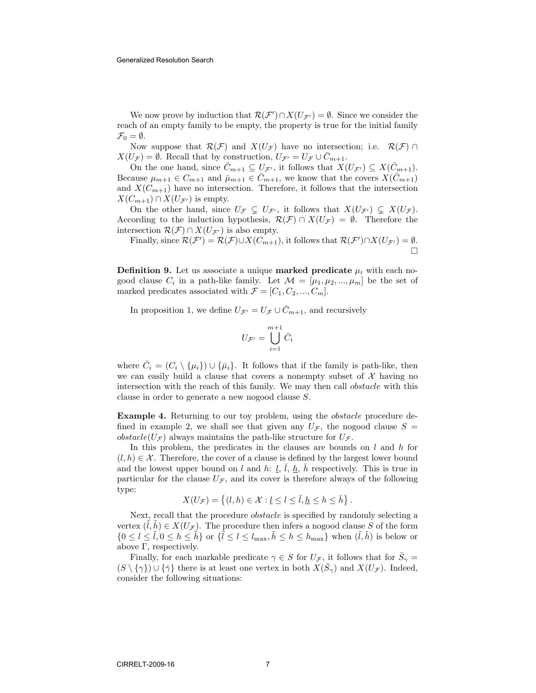We now prove by induction that  $\mathcal{R}(\mathcal{F}') \cap X(U_{\mathcal{F}'}) = \emptyset$ . Since we consider the reach of an empty family to be empty, the property is true for the initial family  $\mathcal{F}_0 = \emptyset.$ 

Now suppose that  $\mathcal{R}(\mathcal{F})$  and  $X(U_{\mathcal{F}})$  have no intersection; i.e.  $\mathcal{R}(\mathcal{F}) \cap$  $X(U_{\mathcal{F}}) = \emptyset$ . Recall that by construction,  $U_{\mathcal{F}} = U_{\mathcal{F}} \cup C_{m+1}$ .

On the one hand, since  $\overline{C}_{m+1} \subseteq U_{\mathcal{F}}$ , it follows that  $X(U_{\mathcal{F}}) \subseteq X(\overline{C}_{m+1})$ . Because  $\mu_{m+1} \in C_{m+1}$  and  $\bar{\mu}_{m+1} \in \bar{C}_{m+1}$ , we know that the covers  $X(\bar{C}_{m+1})$ and  $X(C_{m+1})$  have no intersection. Therefore, it follows that the intersection  $X(C_{m+1}) \cap X(U_{\mathcal{F}'})$  is empty.

On the other hand, since  $U_{\mathcal{F}} \subseteq U_{\mathcal{F}}$ , it follows that  $X(U_{\mathcal{F}}) \subseteq X(U_{\mathcal{F}})$ . According to the induction hypothesis,  $\mathcal{R}(\mathcal{F}) \cap X(U_{\mathcal{F}}) = \emptyset$ . Therefore the intersection  $\mathcal{R}(\mathcal{F}) \cap X(U_{\mathcal{F}'})$  is also empty.

Finally, since  $\mathcal{R}(\mathcal{F}') = \mathcal{R}(\mathcal{F}) \cup X(C_{m+1})$ , it follows that  $\mathcal{R}(\mathcal{F}') \cap X(U_{\mathcal{F}'}) = \emptyset$ . П

**Definition 9.** Let us associate a unique **marked predicate**  $\mu_i$  with each nogood clause  $C_i$  in a path-like family. Let  $\mathcal{M} = [\mu_1, \mu_2, ..., \mu_m]$  be the set of marked predicates associated with  $\mathcal{F} = [C_1, C_2, ..., C_m]$ .

In proposition 1, we define  $U_{\mathcal{F}} = U_{\mathcal{F}} \cup \overline{C}_{m+1}$ , and recursively

$$
U_{\mathcal{F}'} = \bigcup_{i=1}^{m+1} \bar{C}_i
$$

where  $\bar{C}_i = (C_i \setminus {\{\mu_i\}}) \cup {\{\bar{\mu}_i\}}$ . It follows that if the family is path-like, then we can easily build a clause that covers a nonempty subset of  $\mathcal X$  having no intersection with the reach of this family. We may then call obstacle with this clause in order to generate a new nogood clause S.

Example 4. Returning to our toy problem, using the *obstacle* procedure defined in example 2, we shall see that given any  $U_{\mathcal{F}}$ , the nogood clause  $S =$ *obstacle*( $U_{\mathcal{F}}$ ) always maintains the path-like structure for  $U_{\mathcal{F}}$ .

In this problem, the predicates in the clauses are bounds on  $l$  and  $h$  for  $(l, h) \in \mathcal{X}$ . Therefore, the cover of a clause is defined by the largest lower bound and the lowest upper bound on l and h:  $\underline{l}$ ,  $\overline{l}$ ,  $\underline{h}$ ,  $\overline{h}$  respectively. This is true in particular for the clause  $U_{\mathcal{F}}$ , and its cover is therefore always of the following type:

$$
X(U_{\mathcal{F}}) = \left\{ (l, h) \in \mathcal{X} : \underline{l} \le l \le \overline{l}, \underline{h} \le h \le \overline{h} \right\}.
$$

Next, recall that the procedure obstacle is specified by randomly selecting a vertex  $(l, h) \in X(U_{\mathcal{F}})$ . The procedure then infers a nogood clause S of the form  $\{0 \leq l \leq \tilde{l}, 0 \leq h \leq \tilde{h}\}$  or  $\{\tilde{l} \leq l \leq l_{\text{max}}, \tilde{h} \leq h \leq h_{\text{max}}\}$  when  $(\tilde{l}, \tilde{h})$  is below or above  $\Gamma$ , respectively.

Finally, for each markable predicate  $\gamma \in S$  for  $U_{\mathcal{F}}$ , it follows that for  $\bar{S}_{\gamma} =$  $(S \setminus {\{\gamma\}}) \cup {\{\bar{\gamma}\}\}\$ there is at least one vertex in both  $X(\bar{S}_{\gamma})$  and  $X(U_{\mathcal{F}})$ . Indeed, consider the following situations: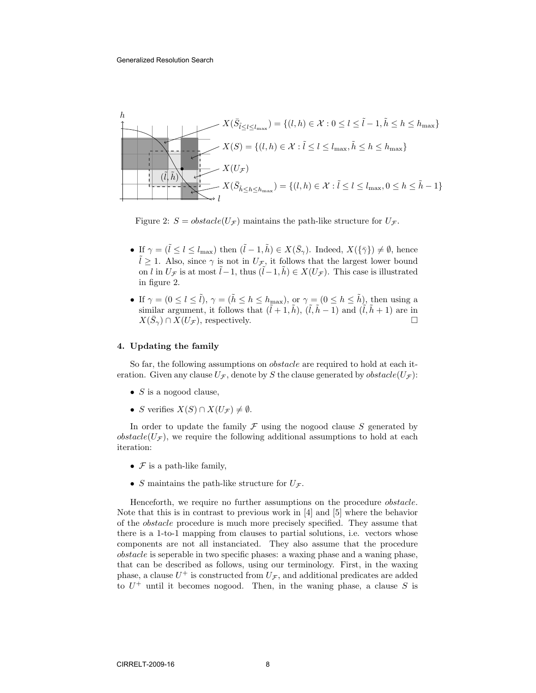

Figure 2:  $S = obstacle(U_{\mathcal{F}})$  maintains the path-like structure for  $U_{\mathcal{F}}$ .

- If  $\gamma = (\tilde{l} \leq l \leq l_{\text{max}})$  then  $(\tilde{l} 1, \tilde{h}) \in X(\bar{S}_{\gamma})$ . Indeed,  $X(\{\bar{\gamma}\}) \neq \emptyset$ , hence  $l \geq 1$ . Also, since  $\gamma$  is not in  $U_{\mathcal{F}}$ , it follows that the largest lower bound on l in  $U_{\mathcal{F}}$  is at most  $\tilde{l}-1$ , thus  $(\tilde{l}-1, \tilde{h}) \in X(U_{\mathcal{F}})$ . This case is illustrated in figure 2.
- If  $\gamma = (0 \leq l \leq \tilde{l}), \gamma = (\tilde{h} \leq h \leq h_{\text{max}}), \text{ or } \gamma = (0 \leq h \leq \tilde{h}), \text{ then using a}$ similar argument, it follows that  $(\tilde{l} + 1, \tilde{h})$ ,  $(\tilde{l}, \tilde{h} - 1)$  and  $(\tilde{l}, \tilde{h} + 1)$  are in  $X(\bar{S}_\gamma) \cap X(U_\mathcal{F}),$  respectively.

#### 4. Updating the family

So far, the following assumptions on *obstacle* are required to hold at each iteration. Given any clause  $U_{\mathcal{F}}$ , denote by S the clause generated by  $obstack(U_{\mathcal{F}})$ :

- $S$  is a nogood clause,
- S verifies  $X(S) \cap X(U_{\mathcal{F}}) \neq \emptyset$ .

In order to update the family  $\mathcal F$  using the nogood clause  $S$  generated by  $obstack(U_{\mathcal{F}})$ , we require the following additional assumptions to hold at each iteration:

- $\mathcal F$  is a path-like family,
- S maintains the path-like structure for  $U_{\mathcal{F}}$ .

Henceforth, we require no further assumptions on the procedure obstacle. Note that this is in contrast to previous work in [4] and [5] where the behavior of the obstacle procedure is much more precisely specified. They assume that there is a 1-to-1 mapping from clauses to partial solutions, i.e. vectors whose components are not all instanciated. They also assume that the procedure obstacle is seperable in two specific phases: a waxing phase and a waning phase, that can be described as follows, using our terminology. First, in the waxing phase, a clause  $U^+$  is constructed from  $U_{\mathcal{F}}$ , and additional predicates are added to  $U^+$  until it becomes nogood. Then, in the waning phase, a clause S is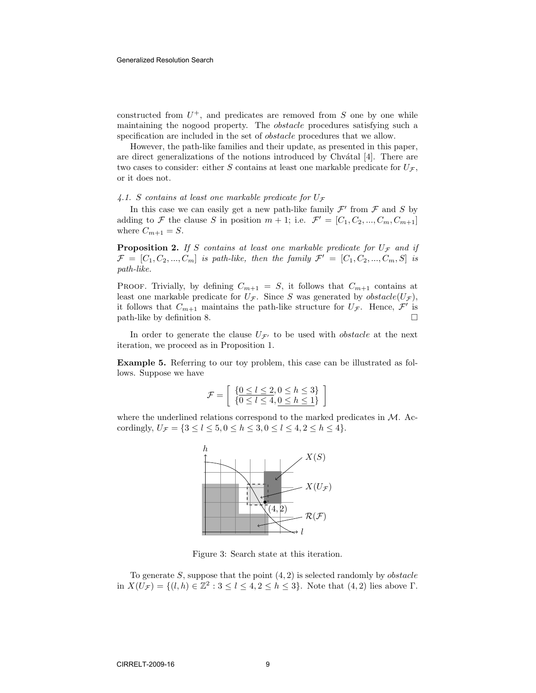constructed from  $U^+$ , and predicates are removed from S one by one while maintaining the nogood property. The obstacle procedures satisfying such a specification are included in the set of obstacle procedures that we allow.

However, the path-like families and their update, as presented in this paper, are direct generalizations of the notions introduced by Chv $\alpha$ tal [4]. There are two cases to consider: either S contains at least one markable predicate for  $U_{\mathcal{F}}$ , or it does not.

4.1. S contains at least one markable predicate for  $U_{\mathcal{F}}$ 

In this case we can easily get a new path-like family  $\mathcal{F}'$  from  $\mathcal F$  and  $S$  by adding to F the clause S in position  $m + 1$ ; i.e.  $\mathcal{F}' = [C_1, C_2, ..., C_m, C_{m+1}]$ where  $C_{m+1} = S$ .

**Proposition 2.** If S contains at least one markable predicate for  $U_{\mathcal{F}}$  and if  $\mathcal{F} = [C_1, C_2, ..., C_m]$  is path-like, then the family  $\mathcal{F}' = [C_1, C_2, ..., C_m, S]$  is path-like.

PROOF. Trivially, by defining  $C_{m+1} = S$ , it follows that  $C_{m+1}$  contains at least one markable predicate for  $U_{\mathcal{F}}$ . Since S was generated by  $obstack(U_{\mathcal{F}})$ , it follows that  $C_{m+1}$  maintains the path-like structure for  $U_{\mathcal{F}}$ . Hence,  $\mathcal{F}'$  is path-like by definition 8.

In order to generate the clause  $U_{\mathcal{F}'}$  to be used with *obstacle* at the next iteration, we proceed as in Proposition 1.

Example 5. Referring to our toy problem, this case can be illustrated as follows. Suppose we have

$$
\mathcal{F} = \left[ \begin{array}{c} \{0 \le l \le 2, 0 \le h \le 3\} \\ \{0 \le l \le 4, 0 \le h \le 1\} \end{array} \right]
$$

where the underlined relations correspond to the marked predicates in  $M$ . Accordingly,  $U_{\mathcal{F}} = \{3 \le l \le 5, 0 \le h \le 3, 0 \le l \le 4, 2 \le h \le 4\}.$ 



Figure 3: Search state at this iteration.

To generate  $S$ , suppose that the point  $(4, 2)$  is selected randomly by *obstacle* in  $X(U_{\mathcal{F}}) = \{(l, h) \in \mathbb{Z}^2 : 3 \leq l \leq 4, 2 \leq h \leq 3\}$ . Note that  $(4, 2)$  lies above  $\Gamma$ .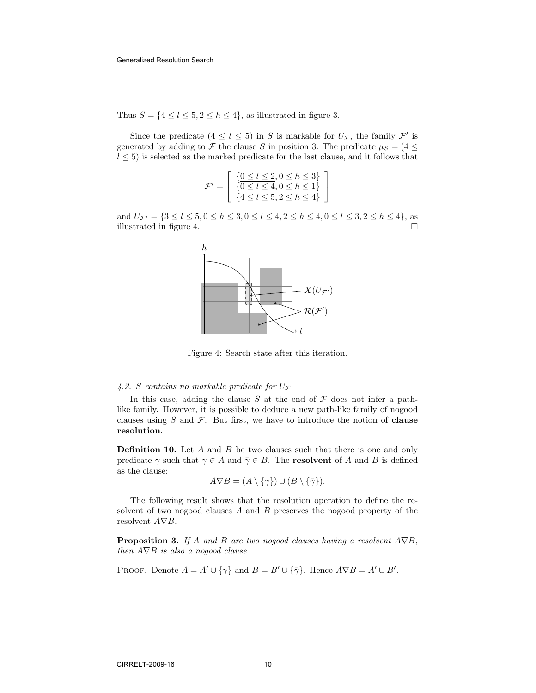Thus  $S = \{4 \leq l \leq 5, 2 \leq h \leq 4\}$ , as illustrated in figure 3.

Since the predicate  $(4 \leq l \leq 5)$  in S is markable for  $U_{\mathcal{F}}$ , the family  $\mathcal{F}'$  is generated by adding to F the clause S in position 3. The predicate  $\mu_S = (4 \leq$  $l \leq 5$ ) is selected as the marked predicate for the last clause, and it follows that

$$
\mathcal{F}' = \left[ \begin{array}{c} \{ \underline{0 \le l \le 2, 0 \le h \le 3 \} \\ \{ \underline{0 \le l \le 4, 0 \le h \le 1 \}} \\ \{ \underline{4 \le l \le 5, 2 \le h \le 4 \}} \end{array} \right]
$$

and  $U_{\mathcal{F}'} = \{3 \leq l \leq 5, 0 \leq h \leq 3, 0 \leq l \leq 4, 2 \leq h \leq 4, 0 \leq l \leq 3, 2 \leq h \leq 4\},\$ illustrated in figure 4.  $\Box$ 



Figure 4: Search state after this iteration.

#### 4.2. S contains no markable predicate for  $U_{\mathcal{F}}$

In this case, adding the clause S at the end of  $\mathcal F$  does not infer a pathlike family. However, it is possible to deduce a new path-like family of nogood clauses using  $S$  and  $\mathcal F$ . But first, we have to introduce the notion of **clause** resolution.

**Definition 10.** Let  $A$  and  $B$  be two clauses such that there is one and only predicate  $\gamma$  such that  $\gamma \in A$  and  $\overline{\gamma} \in B$ . The **resolvent** of A and B is defined as the clause:

$$
A \nabla B = (A \setminus \{ \gamma \}) \cup (B \setminus \{ \bar{\gamma} \}).
$$

The following result shows that the resolution operation to define the resolvent of two nogood clauses A and B preserves the nogood property of the resolvent A∇B.

**Proposition 3.** If A and B are two nogood clauses having a resolvent  $A\nabla B$ , then  $A\nabla B$  is also a nogood clause.

PROOF. Denote  $A = A' \cup {\gamma}$  and  $B = B' \cup {\bar{\gamma}}$ . Hence  $A \nabla B = A' \cup B'$ .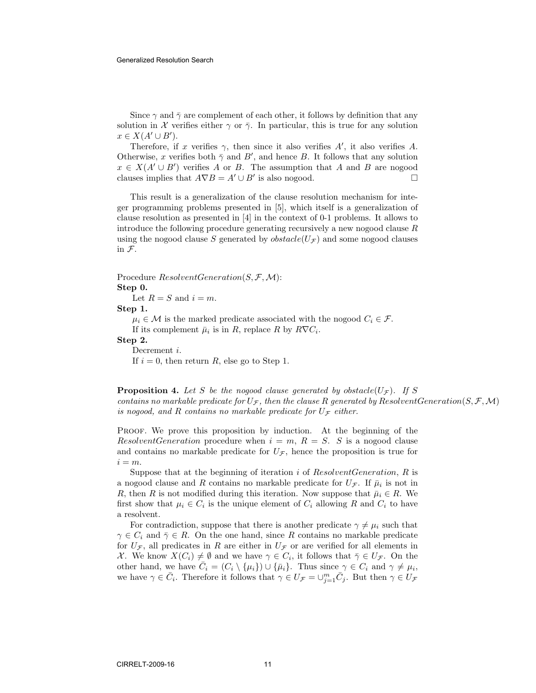Since  $\gamma$  and  $\bar{\gamma}$  are complement of each other, it follows by definition that any solution in X verifies either  $\gamma$  or  $\bar{\gamma}$ . In particular, this is true for any solution  $x \in X(A' \cup B')$ .

Therefore, if x verifies  $\gamma$ , then since it also verifies A', it also verifies A. Otherwise, x verifies both  $\bar{\gamma}$  and  $B'$ , and hence B. It follows that any solution  $x \in X(A' \cup B')$  verifies A or B. The assumption that A and B are nogood clauses implies that  $A \nabla B = A' \cup B'$  is also nogood.

This result is a generalization of the clause resolution mechanism for integer programming problems presented in [5], which itself is a generalization of clause resolution as presented in [4] in the context of 0-1 problems. It allows to introduce the following procedure generating recursively a new nogood clause R using the nogood clause S generated by  $obstack(U_{\mathcal{F}})$  and some nogood clauses in F.

#### Procedure  $ResolventGeneration(S, \mathcal{F}, \mathcal{M})$ : Step 0.

Let  $R = S$  and  $i = m$ .

Step 1.

 $\mu_i \in \mathcal{M}$  is the marked predicate associated with the nogood  $C_i \in \mathcal{F}$ . If its complement  $\bar{\mu}_i$  is in R, replace R by  $R\nabla C_i$ . Step 2. Decrement *i*.

If  $i = 0$ , then return R, else go to Step 1.

**Proposition 4.** Let S be the nogood clause generated by obstacle( $U_{\mathcal{F}}$ ). If S contains no markable predicate for  $U_{\mathcal{F}}$ , then the clause R generated by ResolventGeneration(S,  $\mathcal{F}, \mathcal{M}$ ) is nogood, and R contains no markable predicate for  $U_{\mathcal{F}}$  either.

Proof. We prove this proposition by induction. At the beginning of the ResolventGeneration procedure when  $i = m$ ,  $R = S$ . S is a nogood clause and contains no markable predicate for  $U_{\mathcal{F}}$ , hence the proposition is true for  $i = m$ .

Suppose that at the beginning of iteration i of  $ResolventGeneration$ , R is a nogood clause and R contains no markable predicate for  $U_{\mathcal{F}}$ . If  $\bar{\mu}_i$  is not in R, then R is not modified during this iteration. Now suppose that  $\bar{\mu}_i \in R$ . We first show that  $\mu_i \in C_i$  is the unique element of  $C_i$  allowing R and  $C_i$  to have a resolvent.

For contradiction, suppose that there is another predicate  $\gamma \neq \mu_i$  such that  $\gamma \in C_i$  and  $\bar{\gamma} \in R$ . On the one hand, since R contains no markable predicate for  $U_{\mathcal{F}}$ , all predicates in R are either in  $U_{\mathcal{F}}$  or are verified for all elements in X. We know  $X(C_i) \neq \emptyset$  and we have  $\gamma \in C_i$ , it follows that  $\overline{\gamma} \in U_{\mathcal{F}}$ . On the other hand, we have  $\overline{C}_i = (C_i \setminus {\mu_i}) \cup {\overline{\mu_i}}$ . Thus since  $\gamma \in C_i$  and  $\gamma \neq \mu_i$ , we have  $\gamma \in \bar{C}_i$ . Therefore it follows that  $\gamma \in U_{\mathcal{F}} = \cup_{j=1}^m \bar{C}_j$ . But then  $\gamma \in U_{\mathcal{F}}$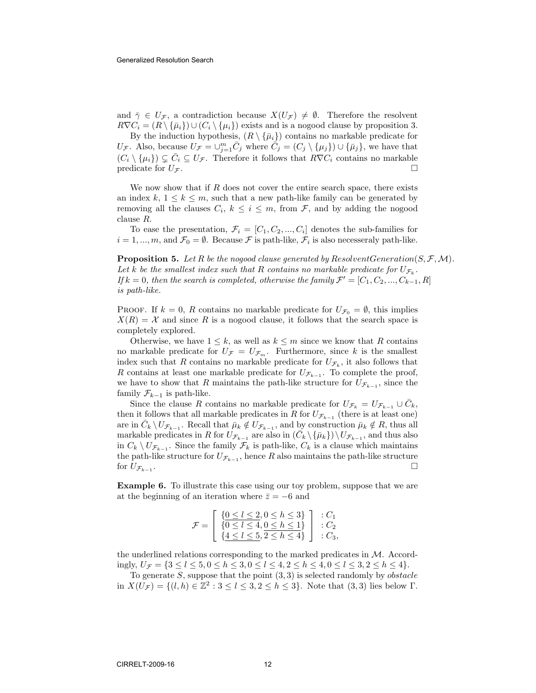and  $\bar{\gamma} \in U_{\mathcal{F}}$ , a contradiction because  $X(U_{\mathcal{F}}) \neq \emptyset$ . Therefore the resolvent  $R\nabla C_i = (R \setminus {\bar{\mu}}_i) \cup (C_i \setminus {\mu}_i)$  exists and is a nogood clause by proposition 3.

By the induction hypothesis,  $(R \setminus {\bar{\mu}}_i)$  contains no markable predicate for U<sub>F</sub>. Also, because  $U_{\mathcal{F}} = \bigcup_{j=1}^m \overline{C}_j$  where  $\overline{\tilde{C}}_j = (C_j \setminus {\{\mu_j\}}) \cup {\{\bar{\mu}_j\}}$ , we have that  $(C_i \setminus {\mu_i}) \subsetneq \overline{C}_i \subseteq U_{\mathcal{F}}$ . Therefore it follows that  $R\nabla C_i$  contains no markable predicate for  $U_{\mathcal{F}}$ .

We now show that if  $R$  does not cover the entire search space, there exists an index k,  $1 \leq k \leq m$ , such that a new path-like family can be generated by removing all the clauses  $C_i, k \leq i \leq m$ , from  $\mathcal{F}$ , and by adding the nogood clause R.

To ease the presentation,  $\mathcal{F}_i = [C_1, C_2, ..., C_i]$  denotes the sub-families for  $i = 1, ..., m$ , and  $\mathcal{F}_0 = \emptyset$ . Because  $\mathcal F$  is path-like,  $\mathcal F_i$  is also necesseraly path-like.

**Proposition 5.** Let R be the nogood clause generated by ResolventGeneration( $S, \mathcal{F}, \mathcal{M}$ ). Let k be the smallest index such that R contains no markable predicate for  $U_{\mathcal{F}_k}$ . If  $k = 0$ , then the search is completed, otherwise the family  $\mathcal{F}' = [C_1, C_2, ..., C_{k-1}, R]$ is path-like.

**PROOF.** If  $k = 0$ , R contains no markable predicate for  $U_{\mathcal{F}_0} = \emptyset$ , this implies  $X(R) = X$  and since R is a nogood clause, it follows that the search space is completely explored.

Otherwise, we have  $1 \leq k$ , as well as  $k \leq m$  since we know that R contains no markable predicate for  $U_{\mathcal{F}} = U_{\mathcal{F}_m}$ . Furthermore, since k is the smallest index such that R contains no markable predicate for  $U_{\mathcal{F}_k}$ , it also follows that R contains at least one markable predicate for  $U_{\mathcal{F}_{k-1}}$ . To complete the proof, we have to show that R maintains the path-like structure for  $U_{\mathcal{F}_{k-1}}$ , since the family  $\mathcal{F}_{k-1}$  is path-like.

Since the clause R contains no markable predicate for  $U_{\mathcal{F}_k} = U_{\mathcal{F}_{k-1}} \cup \overline{C}_k$ , then it follows that all markable predicates in R for  $U_{\mathcal{F}_{k-1}}$  (there is at least one) are in  $\bar{C}_k \setminus U_{\mathcal{F}_{k-1}}$ . Recall that  $\bar{\mu}_k \notin U_{\mathcal{F}_{k-1}}$ , and by construction  $\bar{\mu}_k \notin R$ , thus all markable predicates in R for  $U_{\mathcal{F}_{k-1}}$  are also in  $(\bar{C}_k \setminus {\{\bar{\mu}_k\}}) \setminus U_{\mathcal{F}_{k-1}}$ , and thus also in  $C_k \setminus U_{\mathcal{F}_{k-1}}$ . Since the family  $\mathcal{F}_k$  is path-like,  $C_k$  is a clause which maintains the path-like structure for  $U_{\mathcal{F}_{k-1}}$ , hence R also maintains the path-like structure for  $U_{\mathcal{F}_{k-1}}$ . .

Example 6. To illustrate this case using our toy problem, suppose that we are at the beginning of an iteration where  $\bar{z} = -6$  and

$$
\mathcal{F} = \left[ \begin{array}{c} \{0 \le l \le 2, 0 \le h \le 3\} \\ \{0 \le l \le 4, 0 \le h \le 1\} \\ \{4 \le l \le 5, 2 \le h \le 4\} \end{array} \right] : C_1
$$

the underlined relations corresponding to the marked predicates in  $M$ . Accordingly,  $U_{\mathcal{F}} = \{3 \leq l \leq 5, 0 \leq h \leq 3, 0 \leq l \leq 4, 2 \leq h \leq 4, 0 \leq l \leq 3, 2 \leq h \leq 4\}.$ 

To generate  $S$ , suppose that the point  $(3,3)$  is selected randomly by *obstacle* in  $X(U_{\mathcal{F}}) = \{(l, h) \in \mathbb{Z}^2 : 3 \leq l \leq 3, 2 \leq h \leq 3\}$ . Note that  $(3, 3)$  lies below  $\Gamma$ .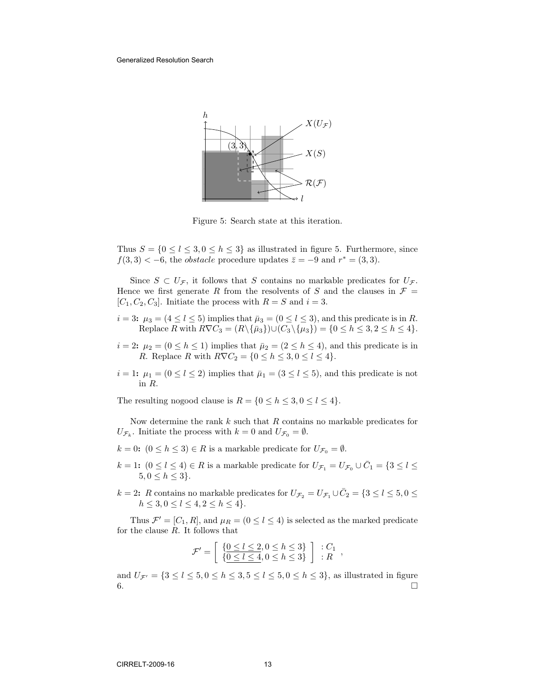

Figure 5: Search state at this iteration.

Thus  $S = \{0 \le l \le 3, 0 \le h \le 3\}$  as illustrated in figure 5. Furthermore, since  $f(3,3) < -6$ , the *obstacle* procedure updates  $\overline{z} = -9$  and  $r^* = (3,3)$ .

Since  $S \subset U_{\mathcal{F}}$ , it follows that S contains no markable predicates for  $U_{\mathcal{F}}$ . Hence we first generate R from the resolvents of S and the clauses in  $\mathcal{F} =$  $[C_1, C_2, C_3]$ . Initiate the process with  $R = S$  and  $i = 3$ .

- $i = 3: \mu_3 = (4 \leq l \leq 5)$  implies that  $\bar{\mu}_3 = (0 \leq l \leq 3)$ , and this predicate is in R. Replace R with  $R\nabla C_3 = (R\backslash {\{\bar{\mu}_3\}}) \cup (C_3 \backslash {\{\mu_3\}}) = \{0 \le h \le 3, 2 \le h \le 4\}.$
- $i = 2$ :  $\mu_2 = (0 \le h \le 1)$  implies that  $\bar{\mu}_2 = (2 \le h \le 4)$ , and this predicate is in R. Replace R with  $R\nabla C_2 = \{0 \le h \le 3, 0 \le l \le 4\}.$
- $i = 1: \mu_1 = (0 \le l \le 2)$  implies that  $\bar{\mu}_1 = (3 \le l \le 5)$ , and this predicate is not in R.

The resulting nogood clause is  $R = \{0 \le h \le 3, 0 \le l \le 4\}.$ 

Now determine the rank  $k$  such that  $R$  contains no markable predicates for  $U_{\mathcal{F}_k}$ . Initiate the process with  $k=0$  and  $U_{\mathcal{F}_0}=\emptyset$ .

- $k = 0$ :  $(0 \le h \le 3) \in R$  is a markable predicate for  $U_{\mathcal{F}_0} = \emptyset$ .
- $k = 1$ :  $(0 \le l \le 4) \in R$  is a markable predicate for  $U_{\mathcal{F}_1} = U_{\mathcal{F}_0} \cup \overline{C}_1 = \{3 \le l \le 4\}$  $5, 0 \le h \le 3$ .
- $k = 2$ : R contains no markable predicates for  $U_{\mathcal{F}_2} = U_{\mathcal{F}_1} \cup \overline{C}_2 = \{3 \leq l \leq 5, 0 \leq \overline{C}_1\}$  $h\leq 3, 0\leq l\leq 4, 2\leq h\leq 4\}.$

Thus  $\mathcal{F}' = [C_1, R]$ , and  $\mu_R = (0 \leq l \leq 4)$  is selected as the marked predicate for the clause  $R$ . It follows that

$$
\mathcal{F}' = \left[ \begin{array}{c} \{0 \leq l \leq 2, 0 \leq h \leq 3\} \\ \{\underline{0 \leq l \leq 4}, 0 \leq h \leq 3\} \end{array} \right] : C_1 ,
$$

and  $U_{\mathcal{F}'} = \{3 \leq l \leq 5, 0 \leq h \leq 3, 5 \leq l \leq 5, 0 \leq h \leq 3\}$ , as illustrated in figure  $6.$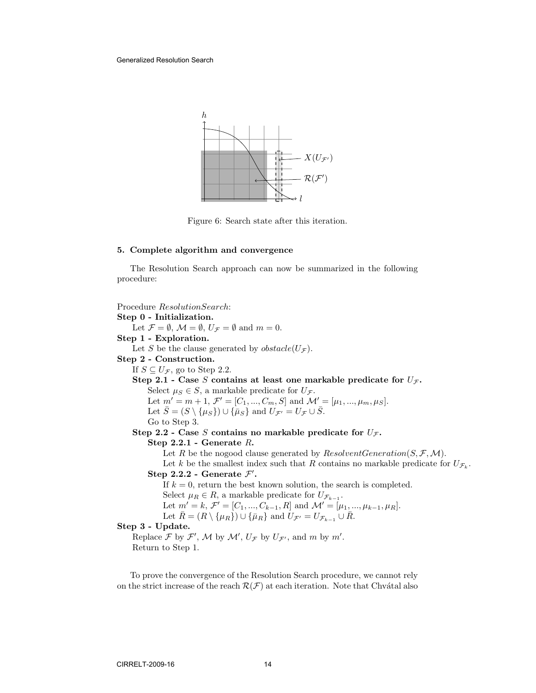Generalized Resolution Search



Figure 6: Search state after this iteration.

#### 5. Complete algorithm and convergence

The Resolution Search approach can now be summarized in the following procedure:

```
Procedure ResolutionSearch:
Step 0 - Initialization.
     Let \mathcal{F} = \emptyset, \mathcal{M} = \emptyset, U_{\mathcal{F}} = \emptyset and m = 0.
Step 1 - Exploration.
     Let S be the clause generated by obstack(U_{\mathcal{F}}).
Step 2 - Construction.
     If S \subseteq U_{\mathcal{F}}, go to Step 2.2.
     Step 2.1 - Case S contains at least one markable predicate for U_{\mathcal{F}}.
           Select \mu_S \in S, a markable predicate for U_{\mathcal{F}}.
           Let m' = m + 1, \mathcal{F}' = [C_1, ..., C_m, S] and \mathcal{M}' = [\mu_1, ..., \mu_m, \mu_S].
           Let \bar{S} = (S \setminus {\mu_S}) \cup {\bar{\mu}_S} and U_{\mathcal{F}'} = U_{\mathcal{F}} \cup \bar{S}.
           Go to Step 3.
     Step 2.2 - Case S contains no markable predicate for U_{\mathcal{F}}.
           Step 2.2.1 - Generate R.
                Let R be the nogood clause generated by ResolventGeneration(S, \mathcal{F}, \mathcal{M}).
                 Let k be the smallest index such that R contains no markable predicate for U_{\mathcal{F}_k}.
           Step 2.2.2 - Generate \mathcal{F}'.
                If k = 0, return the best known solution, the search is completed.
                 Select \mu_R \in R, a markable predicate for U_{\mathcal{F}_{k-1}}.
                 Let m' = k, \mathcal{F}' = [C_1, ..., C_{k-1}, R] and \mathcal{M}' = [\mu_1, ..., \mu_{k-1}, \mu_R].
                Let \bar{R} = (R \setminus {\{\mu_R\}}) \cup {\{\bar{\mu}_R\}} and \bar{U}_{\mathcal{F}'} = U_{\mathcal{F}_{k-1}} \cup \bar{R}.
Step 3 - Update.
      Replace \mathcal F by \mathcal F', \mathcal M by \mathcal M', U_{\mathcal F} by U_{\mathcal F'}, and m by m'.Return to Step 1.
```
To prove the convergence of the Resolution Search procedure, we cannot rely on the strict increase of the reach  $\mathcal{R}(\mathcal{F})$  at each iteration. Note that Chvátal also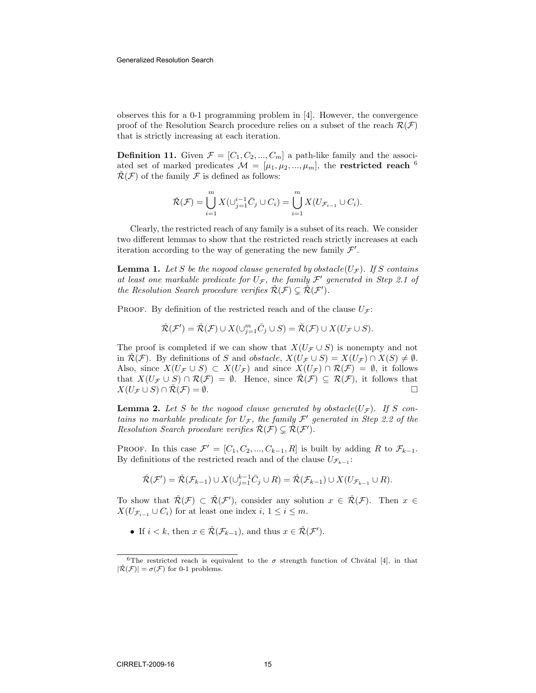#### Generalized Resolution Search

observes this for a 0-1 programming problem in [4]. However, the convergence proof of the Resolution Search procedure relies on a subset of the reach  $\mathcal{R}(\mathcal{F})$ that is strictly increasing at each iteration.

**Definition 11.** Given  $\mathcal{F} = [C_1, C_2, ..., C_m]$  a path-like family and the associated set of marked predicates  $\mathcal{M} = [\mu_1, \mu_2, ..., \mu_m]$ , the **restricted reach** <sup>6</sup>  $\mathcal{R}(\mathcal{F})$  of the family  $\mathcal F$  is defined as follows:

$$
\tilde{\mathcal{R}}(\mathcal{F}) = \bigcup_{i=1}^m X(\cup_{j=1}^{i-1} \bar{C}_j \cup C_i) = \bigcup_{i=1}^m X(U_{\mathcal{F}_{i-1}} \cup C_i).
$$

Clearly, the restricted reach of any family is a subset of its reach. We consider two different lemmas to show that the restricted reach strictly increases at each iteration according to the way of generating the new family  $\mathcal{F}'$ .

**Lemma 1.** Let S be the nogood clause generated by obstacle( $U_{\mathcal{F}}$ ). If S contains at least one markable predicate for  $U_{\mathcal{F}}$ , the family  $\mathcal{F}'$  generated in Step 2.1 of the Resolution Search procedure verifies  $\check{R}(\mathcal{F}) \subsetneq \check{R}(\mathcal{F}')$ .

PROOF. By definition of the restricted reach and of the clause  $U_f$ :

$$
\check{\mathcal{R}}(\mathcal{F}') = \check{\mathcal{R}}(\mathcal{F}) \cup X(\cup_{j=1}^m \bar{C}_j \cup S) = \check{\mathcal{R}}(\mathcal{F}) \cup X(U_{\mathcal{F}} \cup S).
$$

The proof is completed if we can show that  $X(U_{\mathcal{F}} \cup S)$  is nonempty and not in  $\mathcal{R}(\mathcal{F})$ . By definitions of S and obstacle,  $X(U_{\mathcal{F}} \cup S) = X(U_{\mathcal{F}}) \cap X(S) \neq \emptyset$ . Also, since  $X(U_{\mathcal{F}} \cup S) \subset X(U_{\mathcal{F}})$  and since  $X(U_{\mathcal{F}}) \cap \mathcal{R}(\mathcal{F}) = \emptyset$ , it follows that  $X(U_{\mathcal{F}} \cup S) \cap \mathcal{R}(\mathcal{F}) = \emptyset$ . Hence, since  $\mathcal{R}(\mathcal{F}) \subseteq \mathcal{R}(\mathcal{F})$ , it follows that  $X(U_{\mathcal{F}} \cup S) \cap \check{\mathcal{R}}(\mathcal{F}) = \emptyset.$ 

**Lemma 2.** Let S be the nogood clause generated by obstacle( $U_{\mathcal{F}}$ ). If S contains no markable predicate for  $U_{\mathcal{F}}$ , the family  $\mathcal{F}'$  generated in Step 2.2 of the Resolution Search procedure verifies  $\check{\mathcal{R}}(\mathcal{F}) \subsetneq \check{\mathcal{R}}(\mathcal{F}')$ .

PROOF. In this case  $\mathcal{F}' = [C_1, C_2, ..., C_{k-1}, R]$  is built by adding R to  $\mathcal{F}_{k-1}$ . By definitions of the restricted reach and of the clause  $U_{\mathcal{F}_{k-1}}$ :

$$
\check{\mathcal{R}}(\mathcal{F}') = \check{\mathcal{R}}(\mathcal{F}_{k-1}) \cup X(\cup_{j=1}^{k-1} \bar{C}_j \cup R) = \check{\mathcal{R}}(\mathcal{F}_{k-1}) \cup X(U_{\mathcal{F}_{k-1}} \cup R).
$$

To show that  $\check{\mathcal{R}}(\mathcal{F}) \subset \check{\mathcal{R}}(\mathcal{F}')$ , consider any solution  $x \in \check{\mathcal{R}}(\mathcal{F})$ . Then  $x \in$  $X(U_{\mathcal{F}_{i-1}}\cup C_i)$  for at least one index  $i, 1 \leq i \leq m$ .

• If  $i < k$ , then  $x \in \check{\mathcal{R}}(\mathcal{F}_{k-1})$ , and thus  $x \in \check{\mathcal{R}}(\mathcal{F}')$ .

<sup>&</sup>lt;sup>6</sup>The restricted reach is equivalent to the  $\sigma$  strength function of Chvátal [4], in that  $|\mathcal{R}(F)| = \sigma(F)$  for 0-1 problems.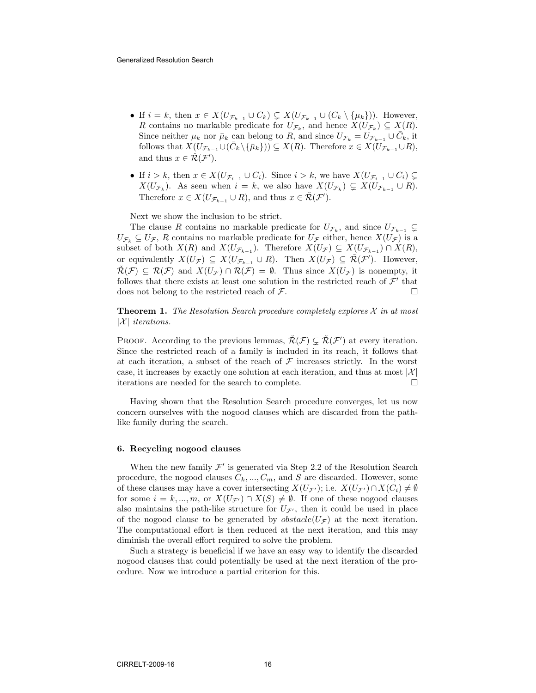- If  $i = k$ , then  $x \in X(U_{\mathcal{F}_{k-1}} \cup C_k) \subsetneq X(U_{\mathcal{F}_{k-1}} \cup (C_k \setminus {\{\mu_k\}}))$ . However, R contains no markable predicate for  $U_{\mathcal{F}_k}$ , and hence  $X(U_{\mathcal{F}_k}) \subseteq X(R)$ . Since neither  $\mu_k$  nor  $\bar{\mu}_k$  can belong to R, and since  $U_{\mathcal{F}_k} = U_{\mathcal{F}_{k-1}} \cup \bar{C}_k$ , it follows that  $X(U_{\mathcal{F}_{k-1}}\cup(\bar{C}_k\setminus\{\bar{\mu}_k\}))\subseteq X(R)$ . Therefore  $x\in X(U_{\mathcal{F}_{k-1}}\cup R)$ , and thus  $x \in \check{\mathcal{R}}(\mathcal{F}')$ .
- If  $i > k$ , then  $x \in X(U_{\mathcal{F}_{i-1}} \cup C_i)$ . Since  $i > k$ , we have  $X(U_{\mathcal{F}_{i-1}} \cup C_i) \subsetneq$  $X(U_{\mathcal{F}_k})$ . As seen when  $i = k$ , we also have  $X(U_{\mathcal{F}_k}) \subsetneq X(U_{\mathcal{F}_{k-1}} \cup R)$ . Therefore  $x \in X(U_{\mathcal{F}_{k-1}} \cup R)$ , and thus  $x \in \check{\mathcal{R}}(\mathcal{F}')$ .

Next we show the inclusion to be strict.

The clause R contains no markable predicate for  $U_{\mathcal{F}_k}$ , and since  $U_{\mathcal{F}_{k-1}} \subsetneq$  $U_{\mathcal{F}_k} \subseteq U_{\mathcal{F}}$ , R contains no markable predicate for  $U_{\mathcal{F}}$  either, hence  $X(U_{\mathcal{F}})$  is a subset of both  $X(R)$  and  $X(U_{\mathcal{F}_{k-1}})$ . Therefore  $X(U_{\mathcal{F}}) \subseteq X(U_{\mathcal{F}_{k-1}}) \cap X(R)$ , or equivalently  $X(U_{\mathcal{F}}) \subseteq X(U_{\mathcal{F}_{k-1}} \cup R)$ . Then  $X(U_{\mathcal{F}}) \subseteq \check{R}(\mathcal{F}')$ . However,  $\check{R}(\mathcal{F}) \subseteq \mathcal{R}(\mathcal{F})$  and  $X(U_{\mathcal{F}}) \cap \mathcal{R}(\mathcal{F}) = \emptyset$ . Thus since  $X(U_{\mathcal{F}})$  is nonempty, it follows that there exists at least one solution in the restricted reach of  $\mathcal{F}'$  that does not belong to the restricted reach of  $\mathcal{F}$ .

**Theorem 1.** The Resolution Search procedure completely explores  $\mathcal{X}$  in at most  $|\mathcal{X}|$  iterations.

PROOF. According to the previous lemmas,  $\check{\mathcal{R}}(\mathcal{F}) \subsetneq \check{\mathcal{R}}(\mathcal{F}')$  at every iteration. Since the restricted reach of a family is included in its reach, it follows that at each iteration, a subset of the reach of  $\mathcal F$  increases strictly. In the worst case, it increases by exactly one solution at each iteration, and thus at most  $|\mathcal{X}|$ iterations are needed for the search to complete.

Having shown that the Resolution Search procedure converges, let us now concern ourselves with the nogood clauses which are discarded from the pathlike family during the search.

#### 6. Recycling nogood clauses

When the new family  $\mathcal{F}'$  is generated via Step 2.2 of the Resolution Search procedure, the nogood clauses  $C_k, ..., C_m$ , and S are discarded. However, some of these clauses may have a cover intersecting  $X(U_{\mathcal{F}})$ ; i.e.  $X(U_{\mathcal{F}}) \cap X(C_i) \neq \emptyset$ for some  $i = k, ..., m$ , or  $X(U_{\mathcal{F}}) \cap X(S) \neq \emptyset$ . If one of these nogood clauses also maintains the path-like structure for  $U_{\mathcal{F}}$ , then it could be used in place of the nogood clause to be generated by  $obstack(U_{\mathcal{F}})$  at the next iteration. The computational effort is then reduced at the next iteration, and this may diminish the overall effort required to solve the problem.

Such a strategy is beneficial if we have an easy way to identify the discarded nogood clauses that could potentially be used at the next iteration of the procedure. Now we introduce a partial criterion for this.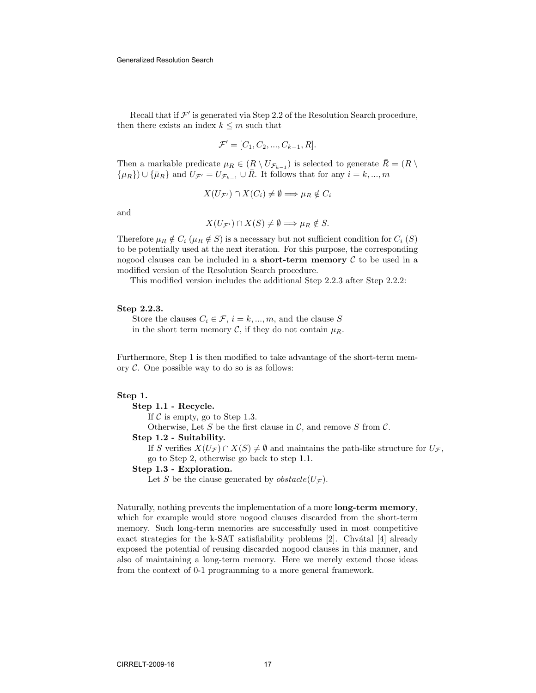Recall that if  $\mathcal{F}'$  is generated via Step 2.2 of the Resolution Search procedure, then there exists an index  $k\leq m$  such that

$$
\mathcal{F}' = [C_1, C_2, ..., C_{k-1}, R].
$$

Then a markable predicate  $\mu_R \in (R \setminus U_{\mathcal{F}_{k-1}})$  is selected to generate  $\overline{R} = (R \setminus E)$  ${\mu_R}$ ) ∪ { $\bar{\mu}_R$ } and  $U_{\mathcal{F}'} = U_{\mathcal{F}_{k-1}} \cup \bar{R}$ . It follows that for any  $i = k, ..., m$ 

$$
X(U_{\mathcal{F}'}) \cap X(C_i) \neq \emptyset \Longrightarrow \mu_R \notin C_i
$$

and

$$
X(U_{\mathcal{F}'}) \cap X(S) \neq \emptyset \Longrightarrow \mu_R \notin S.
$$

Therefore  $\mu_R \notin C_i$  ( $\mu_R \notin S$ ) is a necessary but not sufficient condition for  $C_i$  (S) to be potentially used at the next iteration. For this purpose, the corresponding nogood clauses can be included in a **short-term memory**  $\mathcal{C}$  to be used in a modified version of the Resolution Search procedure.

This modified version includes the additional Step 2.2.3 after Step 2.2.2:

#### Step 2.2.3.

Store the clauses  $C_i \in \mathcal{F}, i = k, ..., m$ , and the clause S in the short term memory C, if they do not contain  $\mu_R$ .

Furthermore, Step 1 is then modified to take advantage of the short-term memory  $C$ . One possible way to do so is as follows:

#### Step 1.

## Step 1.1 - Recycle.

If  $\mathcal C$  is empty, go to Step 1.3.

Otherwise, Let S be the first clause in  $\mathcal{C}$ , and remove S from  $\mathcal{C}$ .

#### Step 1.2 - Suitability.

If S verifies  $X(U_{\mathcal{F}}) \cap X(S) \neq \emptyset$  and maintains the path-like structure for  $U_{\mathcal{F}}$ , go to Step 2, otherwise go back to step 1.1.

#### Step 1.3 - Exploration.

Let S be the clause generated by  $obstack(U_{\mathcal{F}})$ .

Naturally, nothing prevents the implementation of a more long-term memory, which for example would store nogood clauses discarded from the short-term memory. Such long-term memories are successfully used in most competitive exact strategies for the k-SAT satisfiability problems  $[2]$ . Chvátal  $[4]$  already exposed the potential of reusing discarded nogood clauses in this manner, and also of maintaining a long-term memory. Here we merely extend those ideas from the context of 0-1 programming to a more general framework.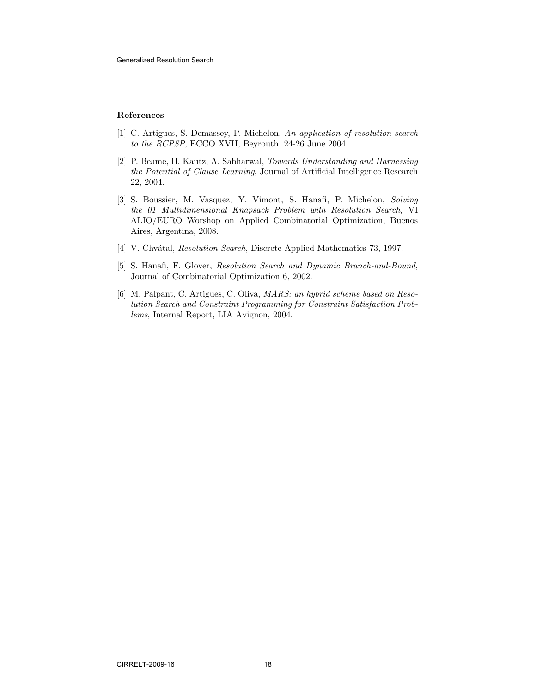#### References

- [1] C. Artigues, S. Demassey, P. Michelon, An application of resolution search to the RCPSP, ECCO XVII, Beyrouth, 24-26 June 2004.
- [2] P. Beame, H. Kautz, A. Sabharwal, Towards Understanding and Harnessing the Potential of Clause Learning, Journal of Artificial Intelligence Research 22, 2004.
- [3] S. Boussier, M. Vasquez, Y. Vimont, S. Hanafi, P. Michelon, Solving the 01 Multidimensional Knapsack Problem with Resolution Search, VI ALIO/EURO Worshop on Applied Combinatorial Optimization, Buenos Aires, Argentina, 2008.
- [4] V. Chvátal, Resolution Search, Discrete Applied Mathematics 73, 1997.
- [5] S. Hanafi, F. Glover, Resolution Search and Dynamic Branch-and-Bound, Journal of Combinatorial Optimization 6, 2002.
- [6] M. Palpant, C. Artigues, C. Oliva, MARS: an hybrid scheme based on Resolution Search and Constraint Programming for Constraint Satisfaction Problems, Internal Report, LIA Avignon, 2004.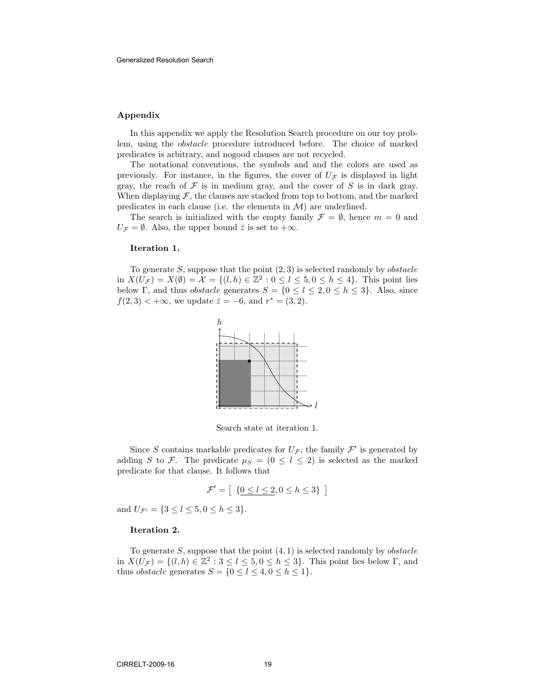#### Appendix

In this appendix we apply the Resolution Search procedure on our toy problem, using the obstacle procedure introduced before. The choice of marked predicates is arbitrary, and nogood clauses are not recycled.

The notational conventions, the symbols and and the colors are used as previously. For instance, in the figures, the cover of  $U_{\mathcal{F}}$  is displayed in light gray, the reach of  $\mathcal F$  is in medium gray, and the cover of  $S$  is in dark gray. When displaying  $\mathcal{F}$ , the clauses are stacked from top to bottom, and the marked predicates in each clause (i.e. the elements in  $\mathcal{M}$ ) are underlined.

The search is initialized with the empty family  $\mathcal{F} = \emptyset$ , hence  $m = 0$  and  $U_{\mathcal{F}} = \emptyset$ . Also, the upper bound  $\overline{z}$  is set to  $+\infty$ .

#### Iteration 1.

To generate  $S$ , suppose that the point  $(2, 3)$  is selected randomly by *obstacle* in  $X(U_{\mathcal{F}}) = X(\emptyset) = \mathcal{X} = \{(l, h) \in \mathbb{Z}^2 : 0 \le l \le 5, 0 \le h \le 4\}.$  This point lies below Γ, and thus *obstacle* generates  $S = \{0 \le l \le 2, 0 \le h \le 3\}$ . Also, since  $f(2,3) < +\infty$ , we update  $\bar{z} = -6$ , and  $r^* = (3,2)$ .



Search state at iteration 1.

Since S contains markable predicates for  $U_{\mathcal{F}}$ , the family  $\mathcal{F}'$  is generated by adding S to F. The predicate  $\mu_S = (0 \leq l \leq 2)$  is selected as the marked predicate for that clause. It follows that

$$
\mathcal{F}' = \left[ \begin{array}{c} \{0 \le l \le 2, 0 \le h \le 3\} \end{array} \right]
$$

and  $U_{\mathcal{F}'} = \{3 \leq l \leq 5, 0 \leq h \leq 3\}.$ 

### Iteration 2.

To generate  $S$ , suppose that the point  $(4, 1)$  is selected randomly by *obstacle* in  $X(U_{\mathcal{F}}) = \{(l, h) \in \mathbb{Z}^2 : 3 \leq l \leq 5, 0 \leq h \leq 3\}$ . This point lies below  $\Gamma$ , and thus *obstacle* generates  $S = \{0 \le l \le 4, 0 \le h \le 1\}.$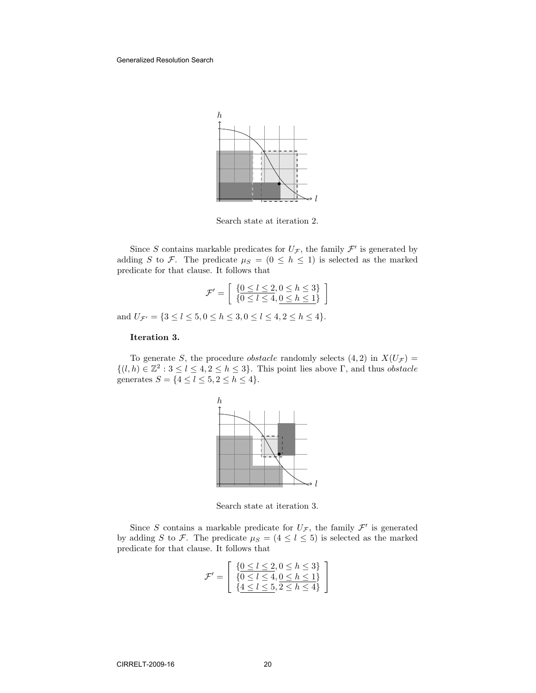

Search state at iteration 2.

Since S contains markable predicates for  $U_{\mathcal{F}}$ , the family  $\mathcal{F}'$  is generated by adding S to F. The predicate  $\mu_S = (0 \leq h \leq 1)$  is selected as the marked predicate for that clause. It follows that

$$
\mathcal{F}' = \left[ \begin{array}{c} \{0 \le l \le 2, 0 \le h \le 3\} \\ \{0 \le l \le 4, 0 \le h \le 1\} \end{array} \right]
$$

and  $U_{\mathcal{F}'} = \{3 \leq l \leq 5, 0 \leq h \leq 3, 0 \leq l \leq 4, 2 \leq h \leq 4\}.$ 

### Iteration 3.

To generate S, the procedure *obstacle* randomly selects  $(4, 2)$  in  $X(U_{\mathcal{F}})$  =  $\{(l, h) \in \mathbb{Z}^2 : 3 \leq l \leq 4, 2 \leq h \leq 3\}.$  This point lies above  $\Gamma$ , and thus *obstacle* generates  $S = \{4 \le l \le 5, 2 \le h \le 4\}.$ 



Search state at iteration 3.

Since S contains a markable predicate for  $U_{\mathcal{F}}$ , the family  $\mathcal{F}'$  is generated by adding S to F. The predicate  $\mu_S = (4 \leq l \leq 5)$  is selected as the marked predicate for that clause. It follows that

$$
\mathcal{F}' = \left[ \begin{array}{c} \{0 \le l \le 2, 0 \le h \le 3\} \\ \{0 \le l \le 4, 0 \le h \le 1\} \\ \{4 \le l \le 5, 2 \le h \le 4\} \end{array} \right]
$$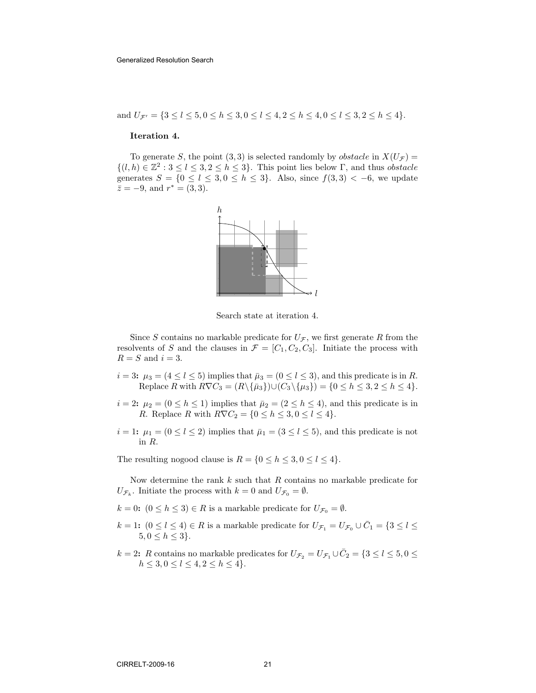and 
$$
U_{\mathcal{F}'} = \{3 \le l \le 5, 0 \le h \le 3, 0 \le l \le 4, 2 \le h \le 4, 0 \le l \le 3, 2 \le h \le 4\}.
$$

#### Iteration 4.

To generate S, the point (3, 3) is selected randomly by *obstacle* in  $X(U_{\mathcal{F}})$  =  $\{(l, h) \in \mathbb{Z}^2 : 3 \leq l \leq 3, 2 \leq h \leq 3\}.$  This point lies below  $\Gamma$ , and thus *obstacle* generates  $S = \{0 \leq l \leq 3, 0 \leq h \leq 3\}$ . Also, since  $f(3,3) < -6$ , we update  $\bar{z} = -9$ , and  $r^* = (3, 3)$ .



Search state at iteration 4.

Since S contains no markable predicate for  $U_{\mathcal{F}}$ , we first generate R from the resolvents of S and the clauses in  $\mathcal{F} = [C_1, C_2, C_3]$ . Initiate the process with  $R = S$  and  $i = 3$ .

- $i = 3: \mu_3 = (4 \leq l \leq 5)$  implies that  $\bar{\mu}_3 = (0 \leq l \leq 3)$ , and this predicate is in R. Replace R with  $R\nabla C_3 = (R\setminus \{\bar{\mu}_3\})\cup (C_3\setminus {\mu_3}) = \{0 \leq h \leq 3, 2 \leq h \leq 4\}.$
- $i = 2$ :  $\mu_2 = (0 \le h \le 1)$  implies that  $\bar{\mu}_2 = (2 \le h \le 4)$ , and this predicate is in R. Replace R with  $R\nabla C_2 = \{0 \le h \le 3, 0 \le l \le 4\}.$
- $i = 1: \mu_1 = (0 \le l \le 2)$  implies that  $\bar{\mu}_1 = (3 \le l \le 5)$ , and this predicate is not in R.

The resulting nogood clause is  $R = \{0 \le h \le 3, 0 \le l \le 4\}.$ 

Now determine the rank  $k$  such that  $R$  contains no markable predicate for  $U_{\mathcal{F}_k}$ . Initiate the process with  $k=0$  and  $U_{\mathcal{F}_0}=\emptyset$ .

 $k = 0$ :  $(0 \leq h \leq 3) \in R$  is a markable predicate for  $U_{\mathcal{F}_0} = \emptyset$ .

- $k = 1$ :  $(0 \le l \le 4) \in R$  is a markable predicate for  $U_{\mathcal{F}_1} = U_{\mathcal{F}_0} \cup \overline{C}_1 = \{3 \le l \le 4\}$  $5, 0 \le h \le 3$ .
- $k = 2$ : R contains no markable predicates for  $U_{\mathcal{F}_2} = U_{\mathcal{F}_1} \cup \overline{C}_2 = \{3 \leq l \leq 5, 0 \leq \overline{C}_1\}$  $h \leq 3, 0 \leq l \leq 4, 2 \leq h \leq 4$ .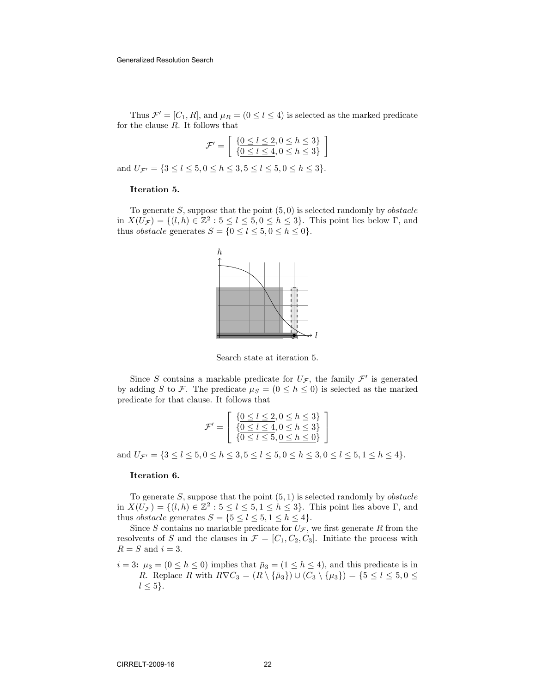Thus  $\mathcal{F}' = [C_1, R]$ , and  $\mu_R = (0 \leq l \leq 4)$  is selected as the marked predicate for the clause  $R$ . It follows that

$$
\mathcal{F}' = \left[ \begin{array}{c} \{0 \le l \le 2, 0 \le h \le 3\} \\ \{\underline{0 \le l \le 4}, 0 \le h \le 3\} \end{array} \right]
$$

and  $U_{\mathcal{F}'} = \{3 \leq l \leq 5, 0 \leq h \leq 3, 5 \leq l \leq 5, 0 \leq h \leq 3\}.$ 

#### Iteration 5.

To generate  $S$ , suppose that the point  $(5, 0)$  is selected randomly by *obstacle* in  $X(\tilde{U}_{\mathcal{F}}) = \{(l, h) \in \mathbb{Z}^2 : 5 \leq l \leq 5, 0 \leq h \leq 3\}$ . This point lies below  $\Gamma$ , and thus *obstacle* generates  $S = \{0 \le l \le 5, 0 \le h \le 0\}.$ 



Search state at iteration 5.

Since S contains a markable predicate for  $U_{\mathcal{F}}$ , the family  $\mathcal{F}'$  is generated by adding S to F. The predicate  $\mu_S = (0 \le h \le 0)$  is selected as the marked predicate for that clause. It follows that

$$
\mathcal{F}' = \left[ \begin{array}{c} \{0 \le l \le 2, 0 \le h \le 3\} \\ \{0 \le l \le 4, 0 \le h \le 3\} \\ \{0 \le l \le 5, 0 \le h \le 0\} \end{array} \right]
$$

and  $U_{\mathcal{F}'} = \{3 \leq l \leq 5, 0 \leq h \leq 3, 5 \leq l \leq 5, 0 \leq h \leq 3, 0 \leq l \leq 5, 1 \leq h \leq 4\}.$ 

### Iteration 6.

To generate S, suppose that the point  $(5, 1)$  is selected randomly by *obstacle* in  $X(U_{\mathcal{F}}) = \{(l, h) \in \mathbb{Z}^2 : 5 \leq l \leq 5, 1 \leq h \leq 3\}$ . This point lies above  $\Gamma$ , and thus *obstacle* generates  $S = \{5 \le l \le 5, 1 \le h \le 4\}.$ 

Since S contains no markable predicate for  $U_{\mathcal{F}}$ , we first generate R from the resolvents of S and the clauses in  $\mathcal{F} = [C_1, C_2, C_3]$ . Initiate the process with  $R = S$  and  $i = 3$ .

 $i = 3$ :  $\mu_3 = (0 \le h \le 0)$  implies that  $\bar{\mu}_3 = (1 \le h \le 4)$ , and this predicate is in R. Replace R with  $R\nabla C_3 = (R \setminus {\bar{\mu}_3}) \cup (C_3 \setminus {\mu_3}) = {5 \le l \le 5, 0 \le \bar{\mu}_3}$  $l \leq 5$ .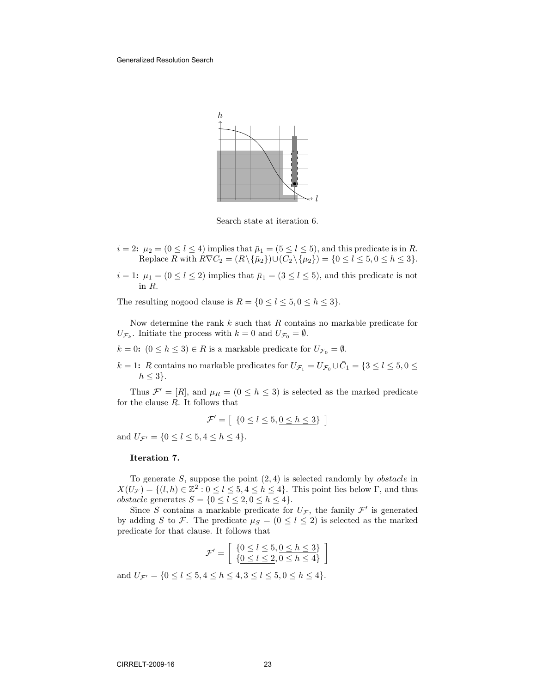

Search state at iteration 6.

- $i = 2$ :  $\mu_2 = (0 \le l \le 4)$  implies that  $\bar{\mu}_1 = (5 \le l \le 5)$ , and this predicate is in R. Replace R with  $R\nabla C_2 = (R \setminus {\overline{\mu}_2}) \cup (C_2 \setminus {\mu_2}) = \{0 \le l \le 5, 0 \le h \le 3\}.$
- $i = 1: \mu_1 = (0 \le l \le 2)$  implies that  $\bar{\mu}_1 = (3 \le l \le 5)$ , and this predicate is not in R.

The resulting nogood clause is  $R = \{0 \le l \le 5, 0 \le h \le 3\}.$ 

Now determine the rank  $k$  such that  $R$  contains no markable predicate for  $U_{\mathcal{F}_k}$ . Initiate the process with  $k=0$  and  $U_{\mathcal{F}_0}=\emptyset$ .

 $k = 0$ :  $(0 \leq h \leq 3) \in R$  is a markable predicate for  $U_{\mathcal{F}_0} = \emptyset$ .

 $k = 1$ : R contains no markable predicates for  $U_{\mathcal{F}_1} = U_{\mathcal{F}_0} \cup \overline{C}_1 = \{3 \leq l \leq 5, 0 \leq \overline{C}_1\}$  $h \leq 3$ .

Thus  $\mathcal{F}' = [R]$ , and  $\mu_R = (0 \leq h \leq 3)$  is selected as the marked predicate for the clause  $R$ . It follows that

$$
\mathcal{F}' = \left[ \begin{array}{c} \{0 \leq l \leq 5, \underline{0 \leq h \leq 3}\} \end{array} \right]
$$

and  $U_{\mathcal{F}'} = \{0 \leq l \leq 5, 4 \leq h \leq 4\}.$ 

## Iteration 7.

To generate  $S$ , suppose the point  $(2, 4)$  is selected randomly by *obstacle* in  $X(U_{\mathcal{F}}) = \{(l, h) \in \mathbb{Z}^2 : 0 \leq l \leq 5, 4 \leq h \leq 4\}.$  This point lies below  $\Gamma$ , and thus *obstacle* generates  $S = \{0 \le l \le 2, 0 \le h \le 4\}.$ 

Since S contains a markable predicate for  $U_{\mathcal{F}}$ , the family  $\mathcal{F}'$  is generated by adding S to F. The predicate  $\mu_S = (0 \le l \le 2)$  is selected as the marked predicate for that clause. It follows that

$$
\mathcal{F}' = \left[ \begin{array}{c} \{0 \leq l \leq 5, 0 \leq h \leq 3\} \\ \{0 \leq l \leq 2, 0 \leq h \leq 4\} \end{array} \right]
$$

and  $U_{\mathcal{F}'} = \{0 \le l \le 5, 4 \le h \le 4, 3 \le l \le 5, 0 \le h \le 4\}.$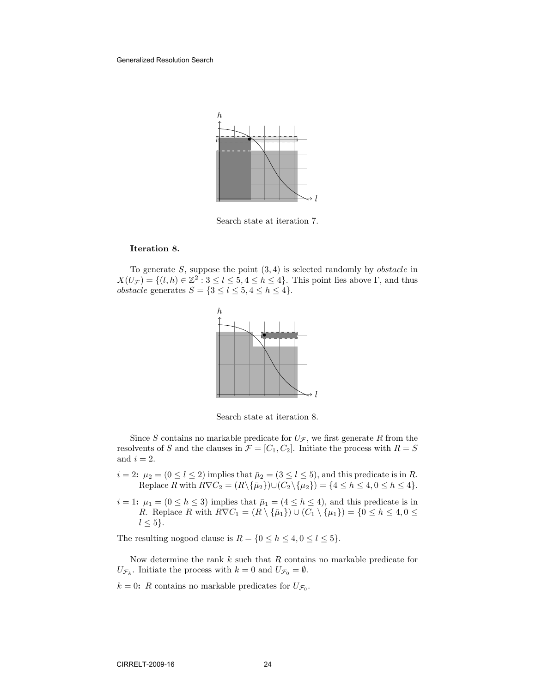

Search state at iteration 7.

#### Iteration 8.

To generate  $S$ , suppose the point  $(3, 4)$  is selected randomly by *obstacle* in  $X(U_{\mathcal{F}}) = \{(l, h) \in \mathbb{Z}^2 : 3 \leq l \leq 5, 4 \leq h \leq 4\}.$  This point lies above  $\Gamma$ , and thus *obstacle* generates  $S = \{3 \le l \le 5, 4 \le h \le 4\}.$ 



Search state at iteration 8.

Since S contains no markable predicate for  $U_{\mathcal{F}}$ , we first generate R from the resolvents of S and the clauses in  $\mathcal{F} = [C_1, C_2]$ . Initiate the process with  $R = S$ and  $i = 2$ .

- $i = 2$ :  $\mu_2 = (0 \le l \le 2)$  implies that  $\bar{\mu}_2 = (3 \le l \le 5)$ , and this predicate is in R. Replace R with  $R\nabla C_2 = (R\backslash {\{\bar{\mu}_2\}}) \cup (C_2 \backslash {\{\mu_2\}}) = \{4 \leq h \leq 4, 0 \leq h \leq 4\}.$
- $i = 1: \mu_1 = (0 \le h \le 3)$  implies that  $\bar{\mu}_1 = (4 \le h \le 4)$ , and this predicate is in R. Replace R with  $R\nabla C_1 = (R \setminus {\overline{\mu_1}}) \cup (\overline{C_1} \setminus {\mu_1}) = \{0 \leq h \leq 4, 0 \leq \overline{\mu_1}\}$  $l \leq 5$ .

The resulting nogood clause is  $R = \{0 \le h \le 4, 0 \le l \le 5\}.$ 

Now determine the rank  $k$  such that  $R$  contains no markable predicate for  $U_{\mathcal{F}_k}$ . Initiate the process with  $k=0$  and  $U_{\mathcal{F}_0}=\emptyset$ .

 $k = 0$ : R contains no markable predicates for  $U_{\mathcal{F}_0}$ .